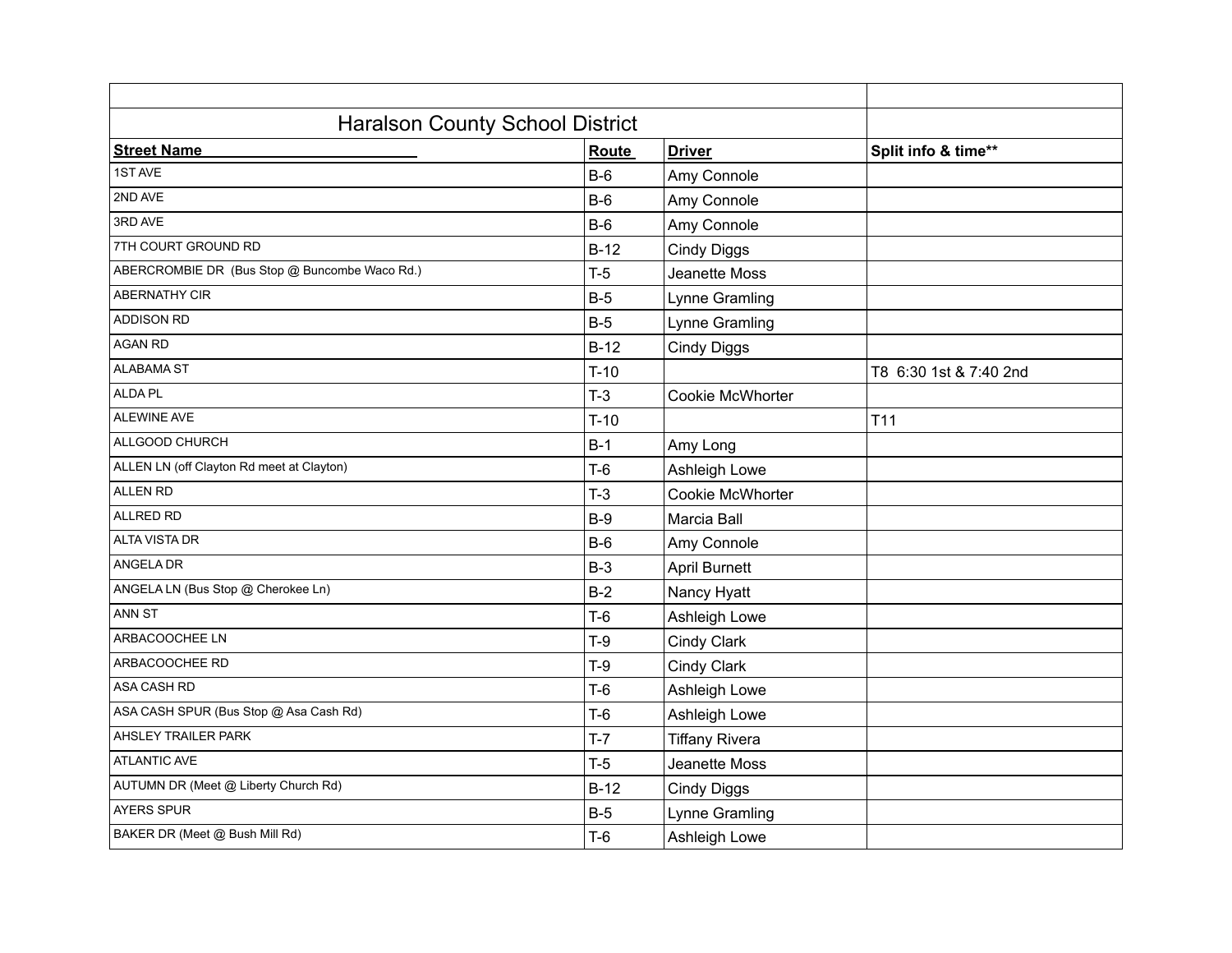| <b>Haralson County School District</b>        |                        |                       |                        |  |
|-----------------------------------------------|------------------------|-----------------------|------------------------|--|
| <b>Street Name</b>                            | <b>Driver</b><br>Route |                       |                        |  |
| 1ST AVE                                       | $B-6$                  | Amy Connole           |                        |  |
| 2ND AVE                                       | $B-6$                  | Amy Connole           |                        |  |
| 3RD AVE                                       | $B-6$                  | Amy Connole           |                        |  |
| 7TH COURT GROUND RD                           | $B-12$                 | <b>Cindy Diggs</b>    |                        |  |
| ABERCROMBIE DR (Bus Stop @ Buncombe Waco Rd.) | $T-5$                  | Jeanette Moss         |                        |  |
| <b>ABERNATHY CIR</b>                          | $B-5$                  | Lynne Gramling        |                        |  |
| <b>ADDISON RD</b>                             | $B-5$                  | Lynne Gramling        |                        |  |
| <b>AGAN RD</b>                                | $B-12$                 | <b>Cindy Diggs</b>    |                        |  |
| <b>ALABAMA ST</b>                             | $T-10$                 |                       | T8 6:30 1st & 7:40 2nd |  |
| ALDA PL                                       | $T-3$                  | Cookie McWhorter      |                        |  |
| ALEWINE AVE                                   | $T-10$                 |                       | T11                    |  |
| ALLGOOD CHURCH                                | $B-1$                  | Amy Long              |                        |  |
| ALLEN LN (off Clayton Rd meet at Clayton)     | $T-6$                  | Ashleigh Lowe         |                        |  |
| <b>ALLEN RD</b>                               | $T-3$                  | Cookie McWhorter      |                        |  |
| ALLRED RD                                     | $B-9$                  | Marcia Ball           |                        |  |
| <b>ALTA VISTA DR</b>                          | $B-6$                  | Amy Connole           |                        |  |
| ANGELA DR                                     | $B-3$                  | <b>April Burnett</b>  |                        |  |
| ANGELA LN (Bus Stop @ Cherokee Ln)            | $B-2$                  | Nancy Hyatt           |                        |  |
| ANN ST                                        | $T-6$                  | Ashleigh Lowe         |                        |  |
| ARBACOOCHEE LN                                | $T-9$                  | Cindy Clark           |                        |  |
| ARBACOOCHEE RD                                | $T-9$                  | Cindy Clark           |                        |  |
| ASA CASH RD                                   | $T-6$                  | Ashleigh Lowe         |                        |  |
| ASA CASH SPUR (Bus Stop @ Asa Cash Rd)        | $T-6$                  | Ashleigh Lowe         |                        |  |
| AHSLEY TRAILER PARK                           | $T-7$                  | <b>Tiffany Rivera</b> |                        |  |
| <b>ATLANTIC AVE</b>                           | $T-5$                  | Jeanette Moss         |                        |  |
| AUTUMN DR (Meet @ Liberty Church Rd)          | $B-12$                 | <b>Cindy Diggs</b>    |                        |  |
| AYERS SPUR                                    | $B-5$                  | Lynne Gramling        |                        |  |
| BAKER DR (Meet @ Bush Mill Rd)                | $T-6$                  | Ashleigh Lowe         |                        |  |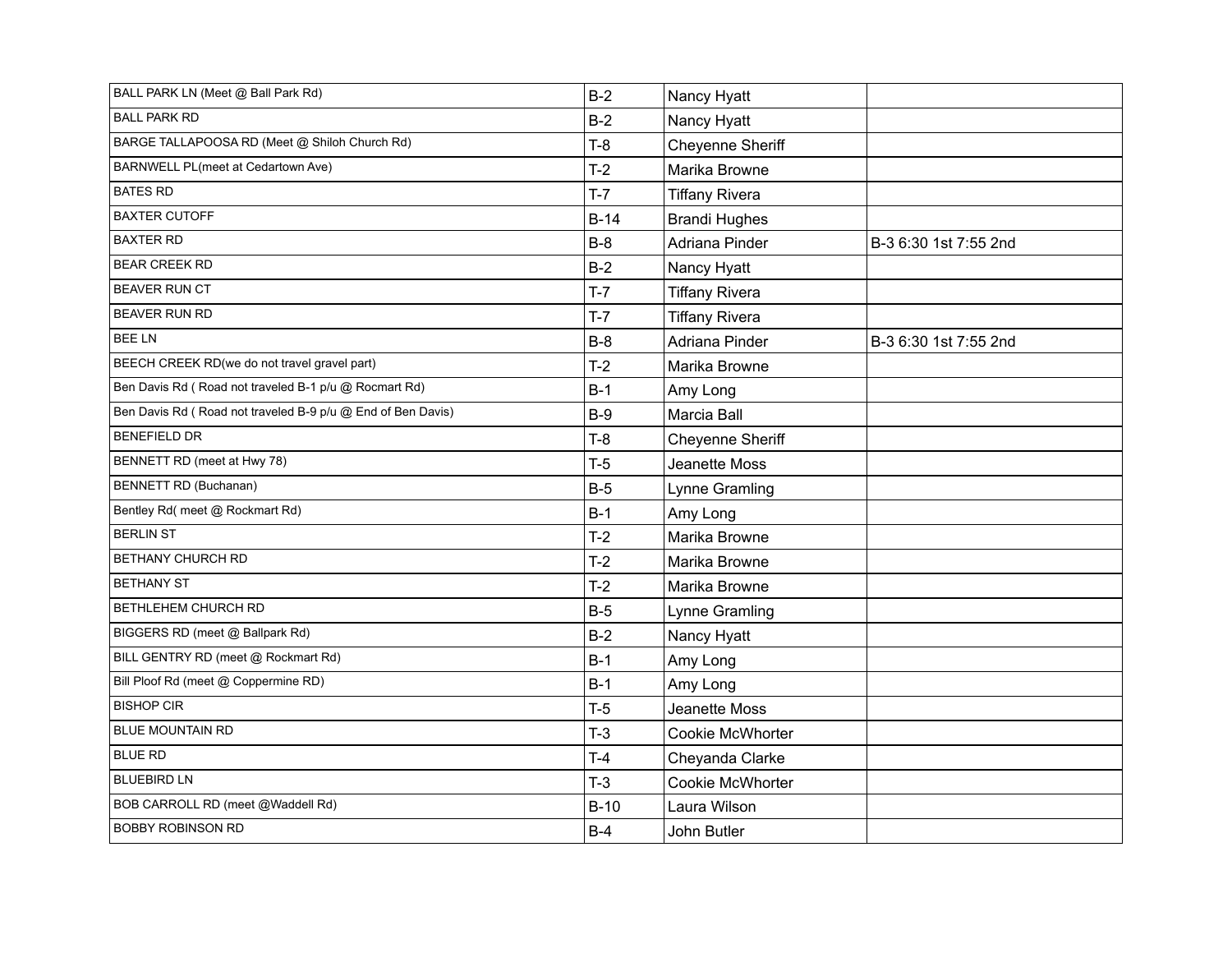| BALL PARK LN (Meet @ Ball Park Rd)                          | $B-2$  | Nancy Hyatt           |                       |
|-------------------------------------------------------------|--------|-----------------------|-----------------------|
| <b>BALL PARK RD</b>                                         | $B-2$  | Nancy Hyatt           |                       |
| BARGE TALLAPOOSA RD (Meet @ Shiloh Church Rd)               | $T-8$  | Cheyenne Sheriff      |                       |
| BARNWELL PL(meet at Cedartown Ave)                          | $T-2$  | Marika Browne         |                       |
| <b>BATES RD</b>                                             | $T-7$  | <b>Tiffany Rivera</b> |                       |
| <b>BAXTER CUTOFF</b>                                        | $B-14$ | <b>Brandi Hughes</b>  |                       |
| <b>BAXTER RD</b>                                            | $B-8$  | Adriana Pinder        | B-3 6:30 1st 7:55 2nd |
| <b>BEAR CREEK RD</b>                                        | $B-2$  | Nancy Hyatt           |                       |
| BEAVER RUN CT                                               | $T-7$  | <b>Tiffany Rivera</b> |                       |
| <b>BEAVER RUN RD</b>                                        | $T-7$  | <b>Tiffany Rivera</b> |                       |
| <b>BEELN</b>                                                | $B-8$  | Adriana Pinder        | B-3 6:30 1st 7:55 2nd |
| BEECH CREEK RD(we do not travel gravel part)                | $T-2$  | Marika Browne         |                       |
| Ben Davis Rd (Road not traveled B-1 p/u @ Rocmart Rd)       | $B-1$  | Amy Long              |                       |
| Ben Davis Rd (Road not traveled B-9 p/u @ End of Ben Davis) | $B-9$  | Marcia Ball           |                       |
| <b>BENEFIELD DR</b>                                         | $T-8$  | Cheyenne Sheriff      |                       |
| BENNETT RD (meet at Hwy 78)                                 | $T-5$  | Jeanette Moss         |                       |
| <b>BENNETT RD (Buchanan)</b>                                | $B-5$  | Lynne Gramling        |                       |
| Bentley Rd( meet @ Rockmart Rd)                             | $B-1$  | Amy Long              |                       |
| <b>BERLIN ST</b>                                            | $T-2$  | Marika Browne         |                       |
| <b>BETHANY CHURCH RD</b>                                    | $T-2$  | Marika Browne         |                       |
| <b>BETHANY ST</b>                                           | $T-2$  | Marika Browne         |                       |
| BETHLEHEM CHURCH RD                                         | $B-5$  | Lynne Gramling        |                       |
| BIGGERS RD (meet @ Ballpark Rd)                             | $B-2$  | Nancy Hyatt           |                       |
| BILL GENTRY RD (meet @ Rockmart Rd)                         | $B-1$  | Amy Long              |                       |
| Bill Ploof Rd (meet @ Coppermine RD)                        | $B-1$  | Amy Long              |                       |
| <b>BISHOP CIR</b>                                           | $T-5$  | Jeanette Moss         |                       |
| <b>BLUE MOUNTAIN RD</b>                                     | $T-3$  | Cookie McWhorter      |                       |
| <b>BLUE RD</b>                                              | $T-4$  | Cheyanda Clarke       |                       |
| <b>BLUEBIRD LN</b>                                          | $T-3$  | Cookie McWhorter      |                       |
| BOB CARROLL RD (meet @Waddell Rd)                           | $B-10$ | Laura Wilson          |                       |
| <b>BOBBY ROBINSON RD</b>                                    | $B-4$  | John Butler           |                       |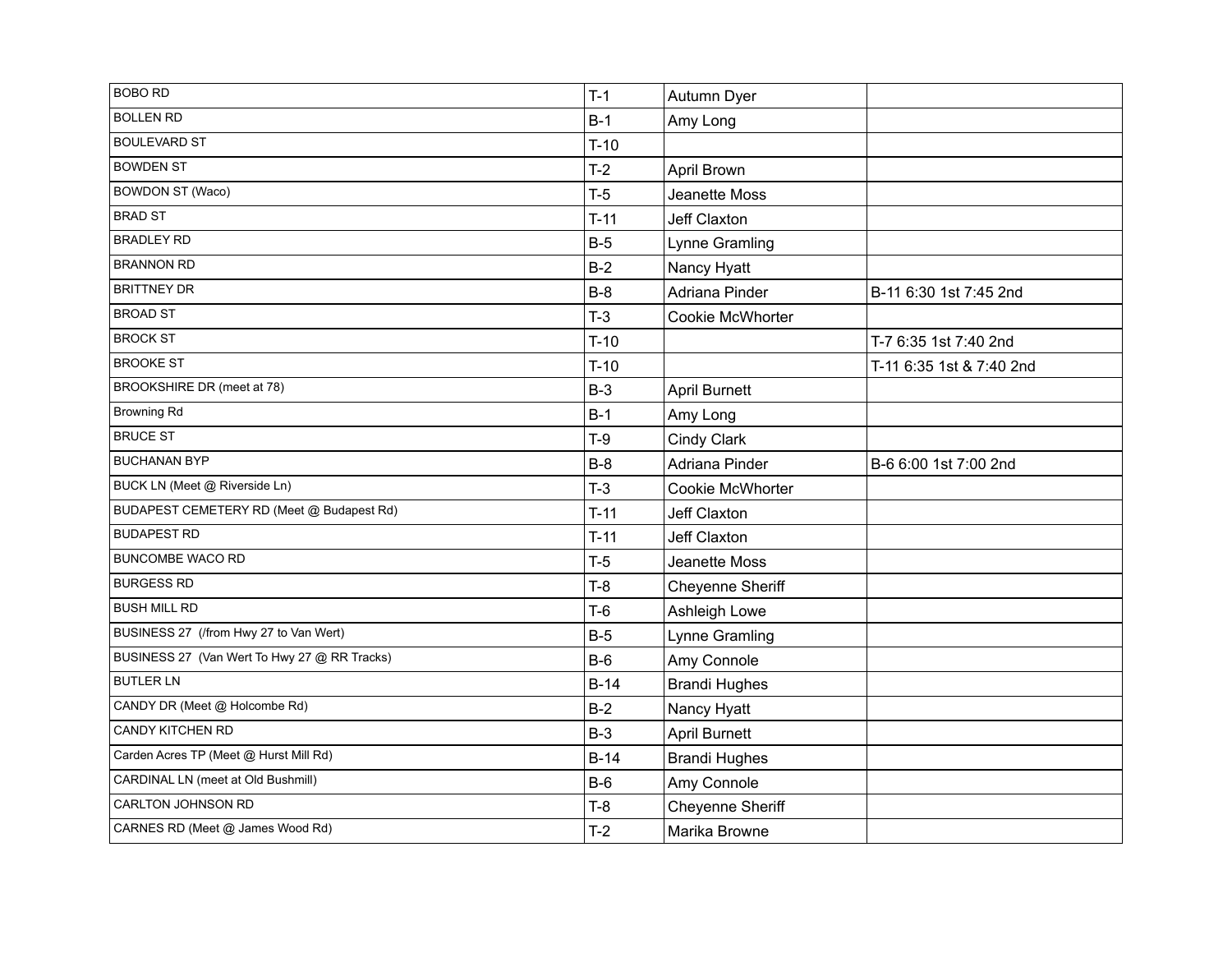| <b>BOBO RD</b>                               | $T-1$  | Autumn Dyer             |                          |
|----------------------------------------------|--------|-------------------------|--------------------------|
| <b>BOLLEN RD</b>                             | $B-1$  | Amy Long                |                          |
| <b>BOULEVARD ST</b>                          | $T-10$ |                         |                          |
| <b>BOWDEN ST</b>                             | $T-2$  | April Brown             |                          |
| <b>BOWDON ST (Waco)</b>                      | $T-5$  | Jeanette Moss           |                          |
| <b>BRAD ST</b>                               | $T-11$ | Jeff Claxton            |                          |
| <b>BRADLEY RD</b>                            | $B-5$  | Lynne Gramling          |                          |
| <b>BRANNON RD</b>                            | $B-2$  | Nancy Hyatt             |                          |
| <b>BRITTNEY DR</b>                           | $B-8$  | Adriana Pinder          | B-11 6:30 1st 7:45 2nd   |
| <b>BROAD ST</b>                              | $T-3$  | <b>Cookie McWhorter</b> |                          |
| <b>BROCK ST</b>                              | $T-10$ |                         | T-7 6:35 1st 7:40 2nd    |
| <b>BROOKE ST</b>                             | $T-10$ |                         | T-11 6:35 1st & 7:40 2nd |
| BROOKSHIRE DR (meet at 78)                   | $B-3$  | <b>April Burnett</b>    |                          |
| <b>Browning Rd</b>                           | $B-1$  | Amy Long                |                          |
| <b>BRUCE ST</b>                              | $T-9$  | Cindy Clark             |                          |
| <b>BUCHANAN BYP</b>                          | $B-8$  | Adriana Pinder          | B-6 6:00 1st 7:00 2nd    |
| BUCK LN (Meet @ Riverside Ln)                | $T-3$  | <b>Cookie McWhorter</b> |                          |
| BUDAPEST CEMETERY RD (Meet @ Budapest Rd)    | $T-11$ | Jeff Claxton            |                          |
| <b>BUDAPEST RD</b>                           | $T-11$ | <b>Jeff Claxton</b>     |                          |
| <b>BUNCOMBE WACO RD</b>                      | $T-5$  | Jeanette Moss           |                          |
| <b>BURGESS RD</b>                            | $T-8$  | Cheyenne Sheriff        |                          |
| <b>BUSH MILL RD</b>                          | $T-6$  | Ashleigh Lowe           |                          |
| BUSINESS 27 (/from Hwy 27 to Van Wert)       | $B-5$  | Lynne Gramling          |                          |
| BUSINESS 27 (Van Wert To Hwy 27 @ RR Tracks) | $B-6$  | Amy Connole             |                          |
| <b>BUTLER LN</b>                             | $B-14$ | <b>Brandi Hughes</b>    |                          |
| CANDY DR (Meet @ Holcombe Rd)                | $B-2$  | Nancy Hyatt             |                          |
| CANDY KITCHEN RD                             | $B-3$  | <b>April Burnett</b>    |                          |
| Carden Acres TP (Meet @ Hurst Mill Rd)       | $B-14$ | <b>Brandi Hughes</b>    |                          |
| CARDINAL LN (meet at Old Bushmill)           | $B-6$  | Amy Connole             |                          |
| CARLTON JOHNSON RD                           | $T-8$  | <b>Cheyenne Sheriff</b> |                          |
| CARNES RD (Meet @ James Wood Rd)             | $T-2$  | Marika Browne           |                          |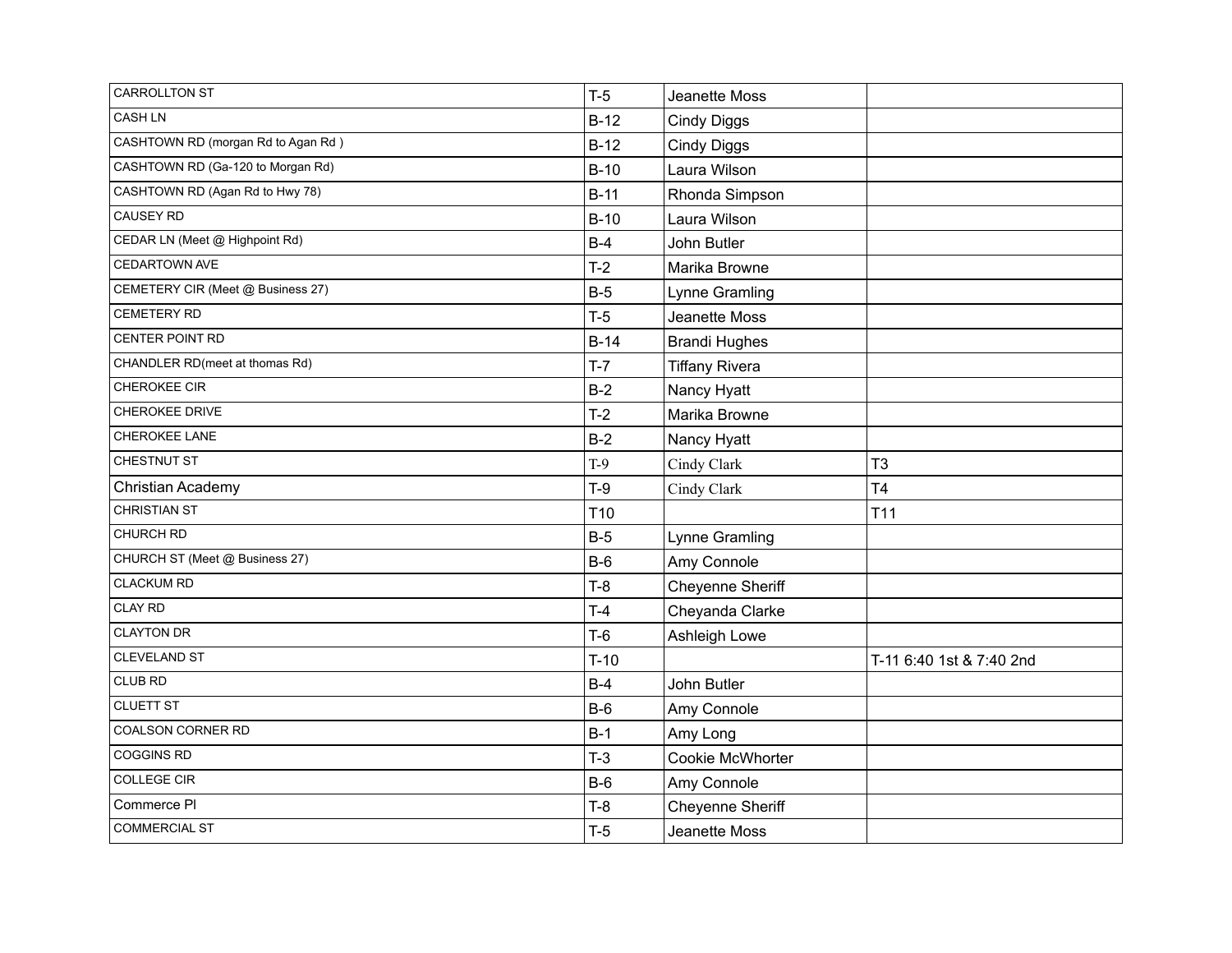| <b>CARROLLTON ST</b>               | $T-5$           | Jeanette Moss         |                          |
|------------------------------------|-----------------|-----------------------|--------------------------|
| <b>CASH LN</b>                     | $B-12$          | <b>Cindy Diggs</b>    |                          |
| CASHTOWN RD (morgan Rd to Agan Rd) | $B-12$          | <b>Cindy Diggs</b>    |                          |
| CASHTOWN RD (Ga-120 to Morgan Rd)  | $B-10$          | Laura Wilson          |                          |
| CASHTOWN RD (Agan Rd to Hwy 78)    | $B-11$          | Rhonda Simpson        |                          |
| <b>CAUSEY RD</b>                   | $B-10$          | Laura Wilson          |                          |
| CEDAR LN (Meet @ Highpoint Rd)     | $B-4$           | John Butler           |                          |
| <b>CEDARTOWN AVE</b>               | $T-2$           | Marika Browne         |                          |
| CEMETERY CIR (Meet @ Business 27)  | $B-5$           | Lynne Gramling        |                          |
| <b>CEMETERY RD</b>                 | $T-5$           | Jeanette Moss         |                          |
| CENTER POINT RD                    | $B-14$          | <b>Brandi Hughes</b>  |                          |
| CHANDLER RD(meet at thomas Rd)     | $T-7$           | <b>Tiffany Rivera</b> |                          |
| CHEROKEE CIR                       | $B-2$           | Nancy Hyatt           |                          |
| CHEROKEE DRIVE                     | $T-2$           | Marika Browne         |                          |
| CHEROKEE LANE                      | $B-2$           | Nancy Hyatt           |                          |
| CHESTNUT ST                        | $T-9$           | Cindy Clark           | T <sub>3</sub>           |
| Christian Academy                  | $T-9$           | Cindy Clark           | T <sub>4</sub>           |
| <b>CHRISTIAN ST</b>                | T <sub>10</sub> |                       | T11                      |
| CHURCH RD                          | $B-5$           | Lynne Gramling        |                          |
| CHURCH ST (Meet @ Business 27)     | $B-6$           | Amy Connole           |                          |
| <b>CLACKUM RD</b>                  | $T-8$           | Cheyenne Sheriff      |                          |
| <b>CLAY RD</b>                     | $T-4$           | Cheyanda Clarke       |                          |
| <b>CLAYTON DR</b>                  | $T-6$           | Ashleigh Lowe         |                          |
| CLEVELAND ST                       | $T-10$          |                       | T-11 6:40 1st & 7:40 2nd |
| CLUB RD                            | $B-4$           | John Butler           |                          |
| <b>CLUETT ST</b>                   | $B-6$           | Amy Connole           |                          |
| COALSON CORNER RD                  | $B-1$           | Amy Long              |                          |
| <b>COGGINS RD</b>                  | $T-3$           | Cookie McWhorter      |                          |
| COLLEGE CIR                        | $B-6$           | Amy Connole           |                          |
| Commerce PI                        | $T-8$           | Cheyenne Sheriff      |                          |
| <b>COMMERCIAL ST</b>               | $T-5$           | Jeanette Moss         |                          |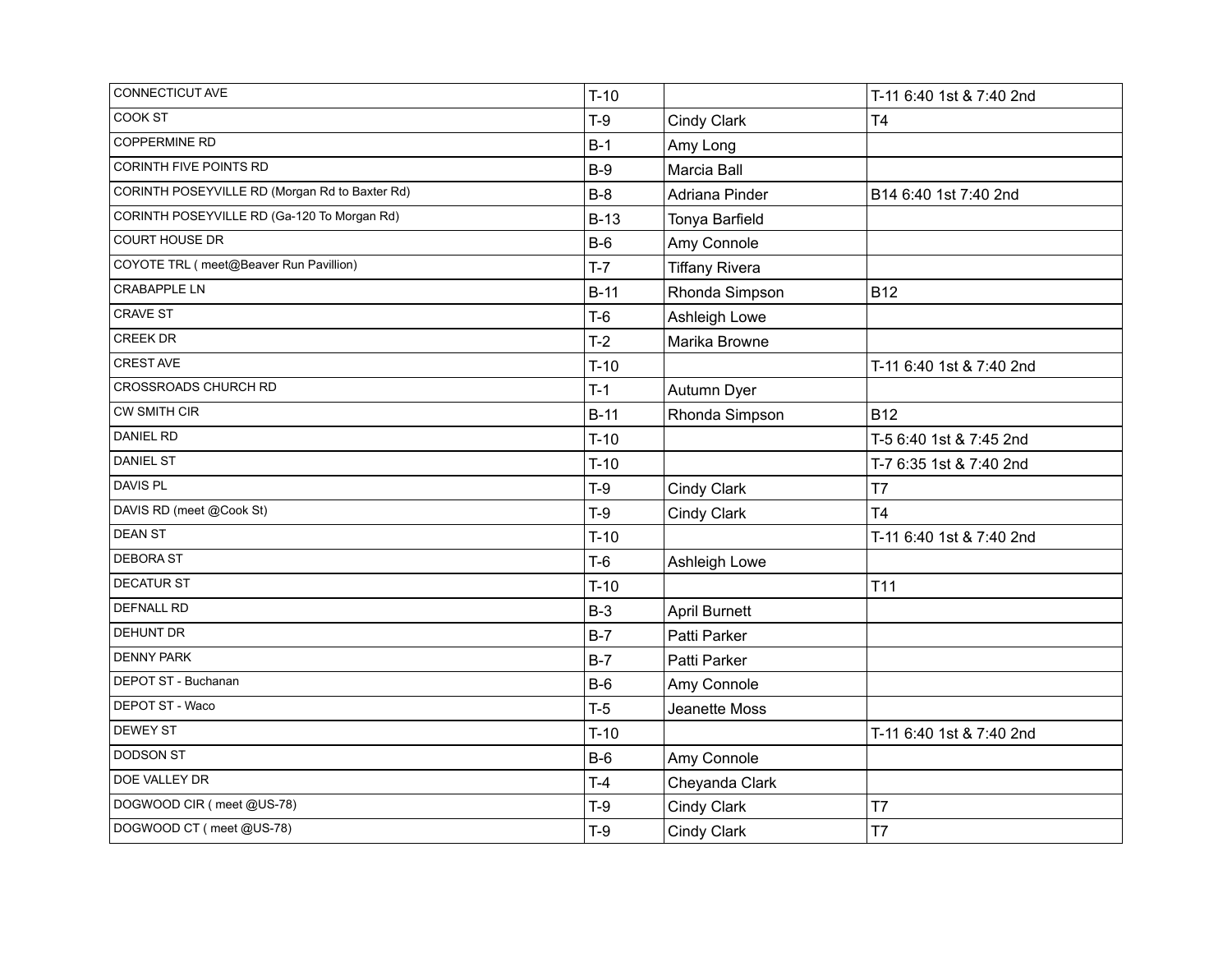| CONNECTICUT AVE                                | $T-10$ |                       | T-11 6:40 1st & 7:40 2nd |
|------------------------------------------------|--------|-----------------------|--------------------------|
| COOK ST                                        | $T-9$  | Cindy Clark           | T <sub>4</sub>           |
| <b>COPPERMINE RD</b>                           | $B-1$  | Amy Long              |                          |
| CORINTH FIVE POINTS RD                         | $B-9$  | Marcia Ball           |                          |
| CORINTH POSEYVILLE RD (Morgan Rd to Baxter Rd) | $B-8$  | Adriana Pinder        | B14 6:40 1st 7:40 2nd    |
| CORINTH POSEYVILLE RD (Ga-120 To Morgan Rd)    | $B-13$ | Tonya Barfield        |                          |
| COURT HOUSE DR                                 | $B-6$  | Amy Connole           |                          |
| COYOTE TRL (meet@Beaver Run Pavillion)         | $T-7$  | <b>Tiffany Rivera</b> |                          |
| <b>CRABAPPLE LN</b>                            | $B-11$ | Rhonda Simpson        | <b>B12</b>               |
| CRAVE ST                                       | $T-6$  | Ashleigh Lowe         |                          |
| <b>CREEK DR</b>                                | $T-2$  | Marika Browne         |                          |
| CREST AVE                                      | $T-10$ |                       | T-11 6:40 1st & 7:40 2nd |
| CROSSROADS CHURCH RD                           | $T-1$  | Autumn Dyer           |                          |
| <b>CW SMITH CIR</b>                            | $B-11$ | Rhonda Simpson        | <b>B12</b>               |
| <b>DANIEL RD</b>                               | $T-10$ |                       | T-5 6:40 1st & 7:45 2nd  |
| <b>DANIEL ST</b>                               | $T-10$ |                       | T-7 6:35 1st & 7:40 2nd  |
| DAVIS PL                                       | $T-9$  | Cindy Clark           | T7                       |
| DAVIS RD (meet @Cook St)                       | $T-9$  | Cindy Clark           | T <sub>4</sub>           |
| <b>DEAN ST</b>                                 | $T-10$ |                       | T-11 6:40 1st & 7:40 2nd |
| <b>DEBORA ST</b>                               | $T-6$  | Ashleigh Lowe         |                          |
| <b>DECATUR ST</b>                              | $T-10$ |                       | T <sub>11</sub>          |
| <b>DEFNALL RD</b>                              | $B-3$  | <b>April Burnett</b>  |                          |
| <b>DEHUNT DR</b>                               | $B-7$  | Patti Parker          |                          |
| <b>DENNY PARK</b>                              | $B-7$  | Patti Parker          |                          |
| DEPOT ST - Buchanan                            | $B-6$  | Amy Connole           |                          |
| DEPOT ST - Waco                                | $T-5$  | Jeanette Moss         |                          |
| DEWEY ST                                       | $T-10$ |                       | T-11 6:40 1st & 7:40 2nd |
| <b>DODSON ST</b>                               | $B-6$  | Amy Connole           |                          |
| DOE VALLEY DR                                  | $T-4$  | Cheyanda Clark        |                          |
| DOGWOOD CIR (meet @US-78)                      | $T-9$  | Cindy Clark           | T7                       |
| DOGWOOD CT (meet @US-78)                       | $T-9$  | Cindy Clark           | T7                       |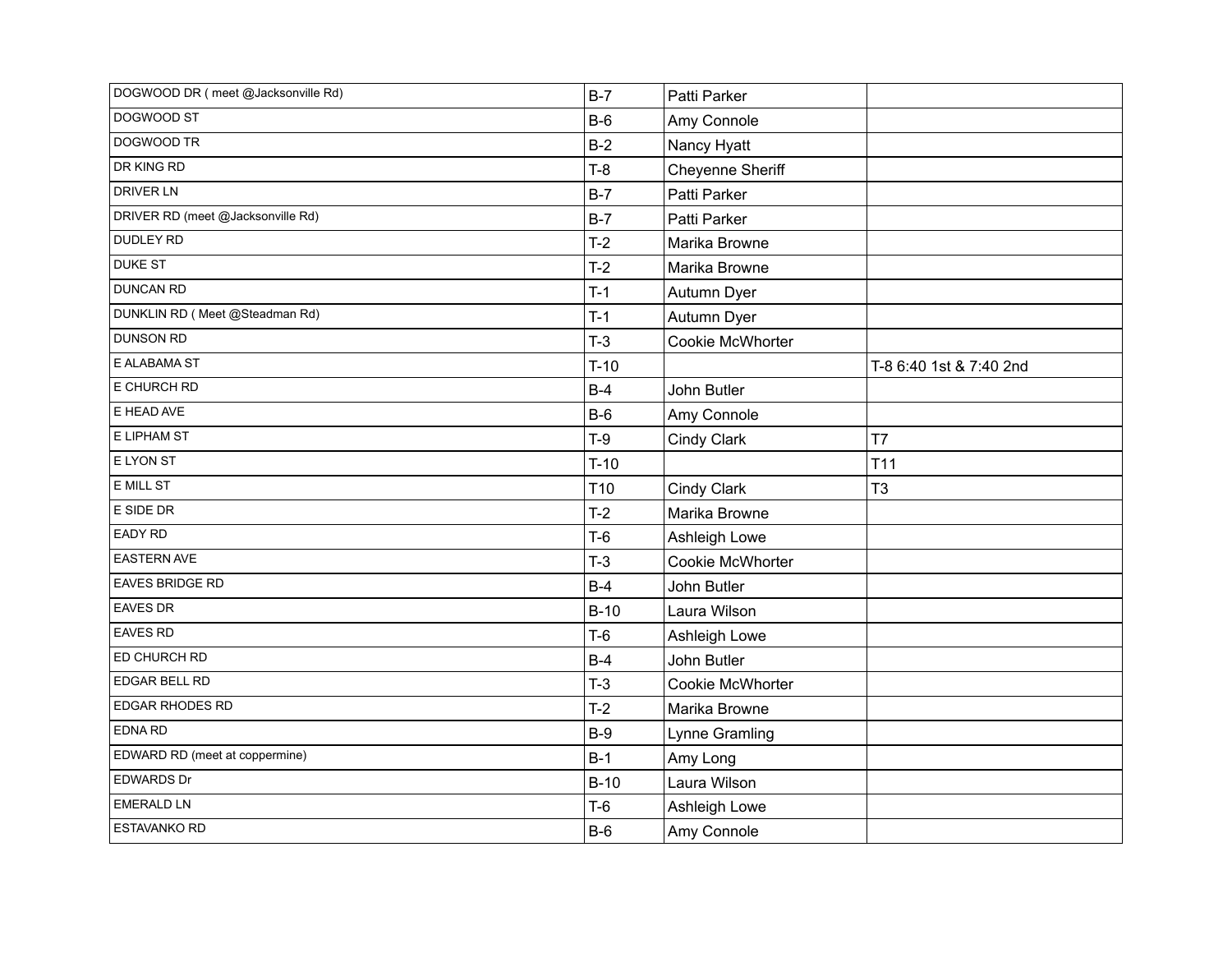| DOGWOOD DR (meet @Jacksonville Rd) | $B-7$           | Patti Parker     |                         |
|------------------------------------|-----------------|------------------|-------------------------|
| DOGWOOD ST                         | $B-6$           | Amy Connole      |                         |
| DOGWOOD TR                         | $B-2$           | Nancy Hyatt      |                         |
| DR KING RD                         | $T-8$           | Cheyenne Sheriff |                         |
| <b>DRIVER LN</b>                   | $B-7$           | Patti Parker     |                         |
| DRIVER RD (meet @Jacksonville Rd)  | $B-7$           | Patti Parker     |                         |
| DUDLEY RD                          | $T-2$           | Marika Browne    |                         |
| <b>DUKE ST</b>                     | $T-2$           | Marika Browne    |                         |
| <b>DUNCAN RD</b>                   | $T-1$           | Autumn Dyer      |                         |
| DUNKLIN RD (Meet @Steadman Rd)     | $T-1$           | Autumn Dyer      |                         |
| <b>DUNSON RD</b>                   | $T-3$           | Cookie McWhorter |                         |
| E ALABAMA ST                       | $T-10$          |                  | T-8 6:40 1st & 7:40 2nd |
| E CHURCH RD                        | $B-4$           | John Butler      |                         |
| E HEAD AVE                         | $B-6$           | Amy Connole      |                         |
| E LIPHAM ST                        | $T-9$           | Cindy Clark      | T7                      |
| E LYON ST                          | $T-10$          |                  | T <sub>11</sub>         |
| E MILL ST                          | T <sub>10</sub> | Cindy Clark      | T <sub>3</sub>          |
| E SIDE DR                          | $T-2$           | Marika Browne    |                         |
| EADY RD                            | $T-6$           | Ashleigh Lowe    |                         |
| <b>EASTERN AVE</b>                 | $T-3$           | Cookie McWhorter |                         |
| <b>EAVES BRIDGE RD</b>             | $B-4$           | John Butler      |                         |
| <b>EAVES DR</b>                    | $B-10$          | Laura Wilson     |                         |
| EAVES RD                           | $T-6$           | Ashleigh Lowe    |                         |
| ED CHURCH RD                       | $B-4$           | John Butler      |                         |
| EDGAR BELL RD                      | $T-3$           | Cookie McWhorter |                         |
| EDGAR RHODES RD                    | $T-2$           | Marika Browne    |                         |
| EDNA RD                            | $B-9$           | Lynne Gramling   |                         |
| EDWARD RD (meet at coppermine)     | $B-1$           | Amy Long         |                         |
| EDWARDS Dr                         | $B-10$          | Laura Wilson     |                         |
| <b>EMERALD LN</b>                  | $T-6$           | Ashleigh Lowe    |                         |
| <b>ESTAVANKO RD</b>                | $B-6$           | Amy Connole      |                         |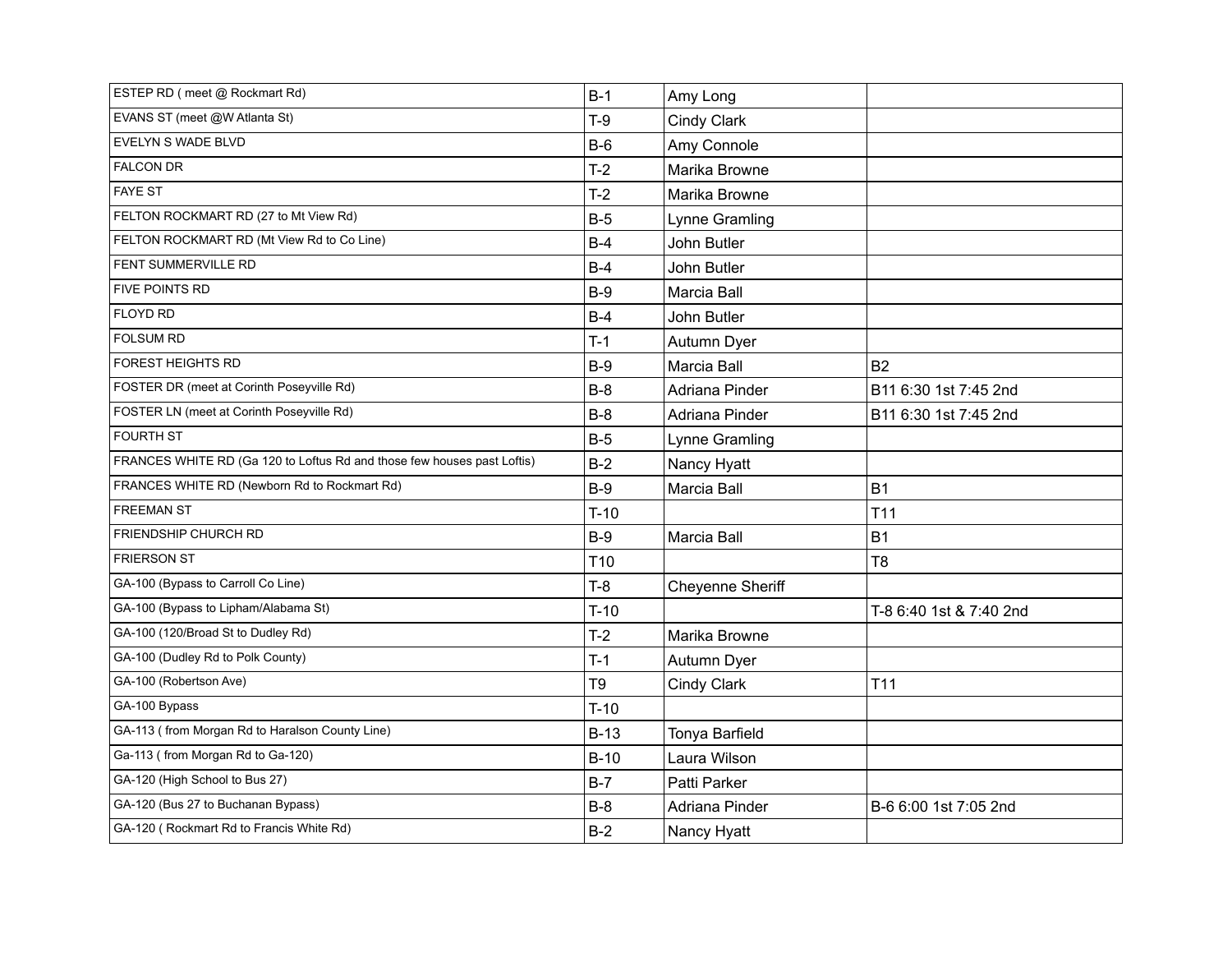| ESTEP RD (meet @ Rockmart Rd)                                           | $B-1$           | Amy Long           |                         |
|-------------------------------------------------------------------------|-----------------|--------------------|-------------------------|
| EVANS ST (meet @W Atlanta St)                                           | $T-9$           | Cindy Clark        |                         |
| <b>EVELYN S WADE BLVD</b>                                               | $B-6$           | Amy Connole        |                         |
| <b>FALCON DR</b>                                                        | $T-2$           | Marika Browne      |                         |
| <b>FAYE ST</b>                                                          | $T-2$           | Marika Browne      |                         |
| FELTON ROCKMART RD (27 to Mt View Rd)                                   | $B-5$           | Lynne Gramling     |                         |
| FELTON ROCKMART RD (Mt View Rd to Co Line)                              | $B-4$           | John Butler        |                         |
| <b>FENT SUMMERVILLE RD</b>                                              | $B-4$           | John Butler        |                         |
| FIVE POINTS RD                                                          | $B-9$           | Marcia Ball        |                         |
| <b>FLOYD RD</b>                                                         | $B-4$           | John Butler        |                         |
| <b>FOLSUM RD</b>                                                        | $T-1$           | Autumn Dyer        |                         |
| <b>FOREST HEIGHTS RD</b>                                                | $B-9$           | Marcia Ball        | <b>B2</b>               |
| FOSTER DR (meet at Corinth Poseyville Rd)                               | $B-8$           | Adriana Pinder     | B11 6:30 1st 7:45 2nd   |
| FOSTER LN (meet at Corinth Poseyville Rd)                               | $B-8$           | Adriana Pinder     | B11 6:30 1st 7:45 2nd   |
| <b>FOURTH ST</b>                                                        | $B-5$           | Lynne Gramling     |                         |
| FRANCES WHITE RD (Ga 120 to Loftus Rd and those few houses past Loftis) | $B-2$           | Nancy Hyatt        |                         |
| FRANCES WHITE RD (Newborn Rd to Rockmart Rd)                            | $B-9$           | <b>Marcia Ball</b> | <b>B1</b>               |
| <b>FREEMAN ST</b>                                                       | $T-10$          |                    | T <sub>11</sub>         |
| FRIENDSHIP CHURCH RD                                                    | $B-9$           | Marcia Ball        | <b>B1</b>               |
| <b>FRIERSON ST</b>                                                      | T <sub>10</sub> |                    | T <sub>8</sub>          |
| GA-100 (Bypass to Carroll Co Line)                                      | $T-8$           | Cheyenne Sheriff   |                         |
| GA-100 (Bypass to Lipham/Alabama St)                                    | $T-10$          |                    | T-8 6:40 1st & 7:40 2nd |
| GA-100 (120/Broad St to Dudley Rd)                                      | $T-2$           | Marika Browne      |                         |
| GA-100 (Dudley Rd to Polk County)                                       | $T-1$           | Autumn Dyer        |                         |
| GA-100 (Robertson Ave)                                                  | T9              | Cindy Clark        | T <sub>11</sub>         |
| GA-100 Bypass                                                           | $T-10$          |                    |                         |
| GA-113 (from Morgan Rd to Haralson County Line)                         | $B-13$          | Tonya Barfield     |                         |
| Ga-113 (from Morgan Rd to Ga-120)                                       | $B-10$          | Laura Wilson       |                         |
| GA-120 (High School to Bus 27)                                          | $B-7$           | Patti Parker       |                         |
| GA-120 (Bus 27 to Buchanan Bypass)                                      | $B-8$           | Adriana Pinder     | B-6 6:00 1st 7:05 2nd   |
| GA-120 (Rockmart Rd to Francis White Rd)                                | $B-2$           | Nancy Hyatt        |                         |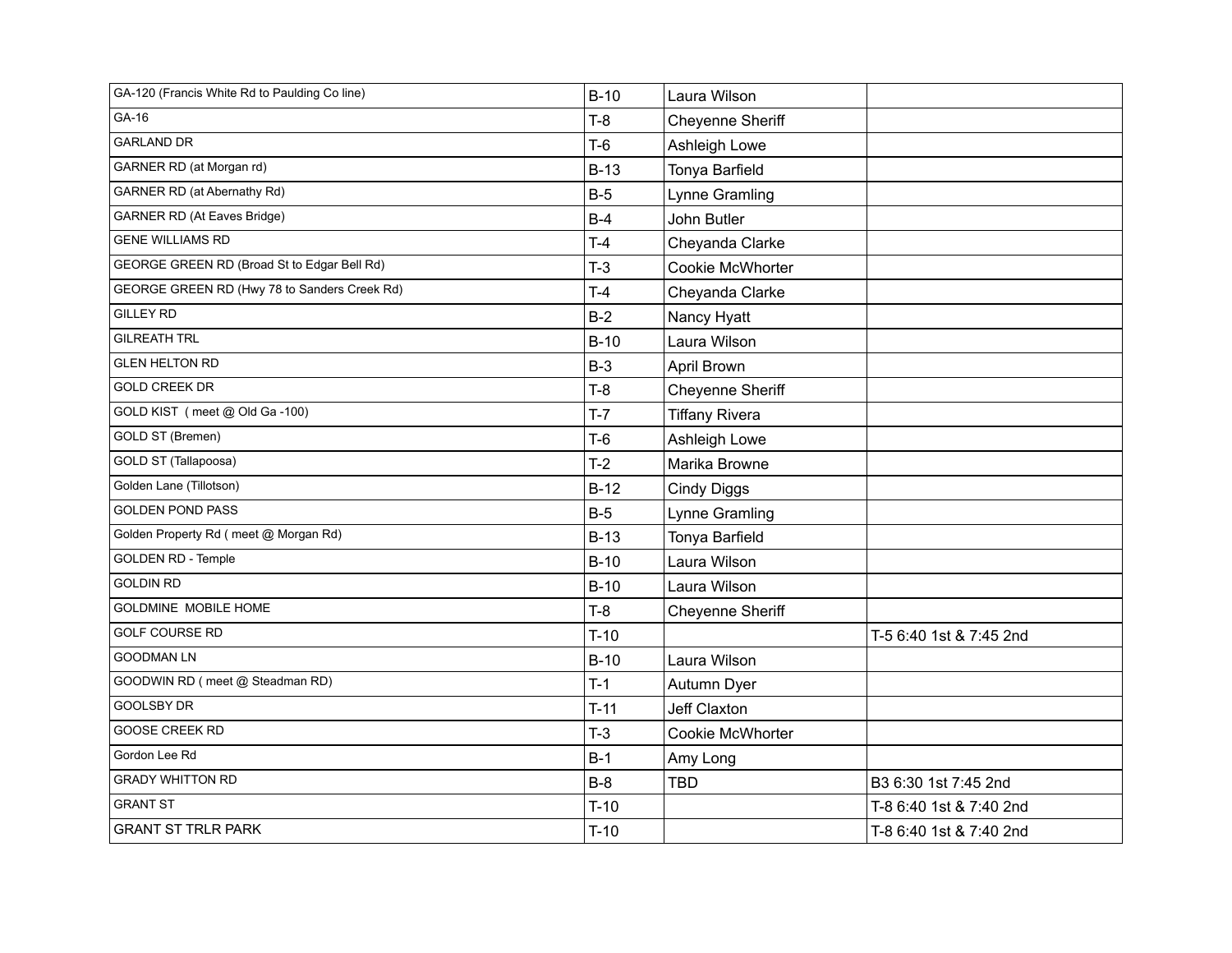| GA-120 (Francis White Rd to Paulding Co line) | $B-10$ | Laura Wilson          |                         |
|-----------------------------------------------|--------|-----------------------|-------------------------|
| GA-16                                         | $T-8$  | Cheyenne Sheriff      |                         |
| <b>GARLAND DR</b>                             | $T-6$  | Ashleigh Lowe         |                         |
| GARNER RD (at Morgan rd)                      | $B-13$ | Tonya Barfield        |                         |
| GARNER RD (at Abernathy Rd)                   | $B-5$  | Lynne Gramling        |                         |
| <b>GARNER RD (At Eaves Bridge)</b>            | $B-4$  | John Butler           |                         |
| <b>GENE WILLIAMS RD</b>                       | $T-4$  | Cheyanda Clarke       |                         |
| GEORGE GREEN RD (Broad St to Edgar Bell Rd)   | $T-3$  | Cookie McWhorter      |                         |
| GEORGE GREEN RD (Hwy 78 to Sanders Creek Rd)  | $T-4$  | Cheyanda Clarke       |                         |
| <b>GILLEY RD</b>                              | $B-2$  | Nancy Hyatt           |                         |
| <b>GILREATH TRL</b>                           | $B-10$ | Laura Wilson          |                         |
| <b>GLEN HELTON RD</b>                         | $B-3$  | April Brown           |                         |
| <b>GOLD CREEK DR</b>                          | $T-8$  | Cheyenne Sheriff      |                         |
| GOLD KIST (meet @ Old Ga-100)                 | $T-7$  | <b>Tiffany Rivera</b> |                         |
| GOLD ST (Bremen)                              | $T-6$  | Ashleigh Lowe         |                         |
| GOLD ST (Tallapoosa)                          | $T-2$  | Marika Browne         |                         |
| Golden Lane (Tillotson)                       | $B-12$ | <b>Cindy Diggs</b>    |                         |
| <b>GOLDEN POND PASS</b>                       | $B-5$  | Lynne Gramling        |                         |
| Golden Property Rd (meet @ Morgan Rd)         | $B-13$ | Tonya Barfield        |                         |
| <b>GOLDEN RD - Temple</b>                     | $B-10$ | Laura Wilson          |                         |
| <b>GOLDIN RD</b>                              | $B-10$ | Laura Wilson          |                         |
| GOLDMINE MOBILE HOME                          | $T-8$  | Cheyenne Sheriff      |                         |
| <b>GOLF COURSE RD</b>                         | $T-10$ |                       | T-5 6:40 1st & 7:45 2nd |
| <b>GOODMAN LN</b>                             | $B-10$ | Laura Wilson          |                         |
| GOODWIN RD (meet @ Steadman RD)               | $T-1$  | Autumn Dyer           |                         |
| <b>GOOLSBY DR</b>                             | $T-11$ | Jeff Claxton          |                         |
| <b>GOOSE CREEK RD</b>                         | $T-3$  | Cookie McWhorter      |                         |
| Gordon Lee Rd                                 | $B-1$  | Amy Long              |                         |
| <b>GRADY WHITTON RD</b>                       | $B-8$  | <b>TBD</b>            | B3 6:30 1st 7:45 2nd    |
| <b>GRANT ST</b>                               | $T-10$ |                       | T-8 6:40 1st & 7:40 2nd |
| <b>GRANT ST TRLR PARK</b>                     | $T-10$ |                       | T-8 6:40 1st & 7:40 2nd |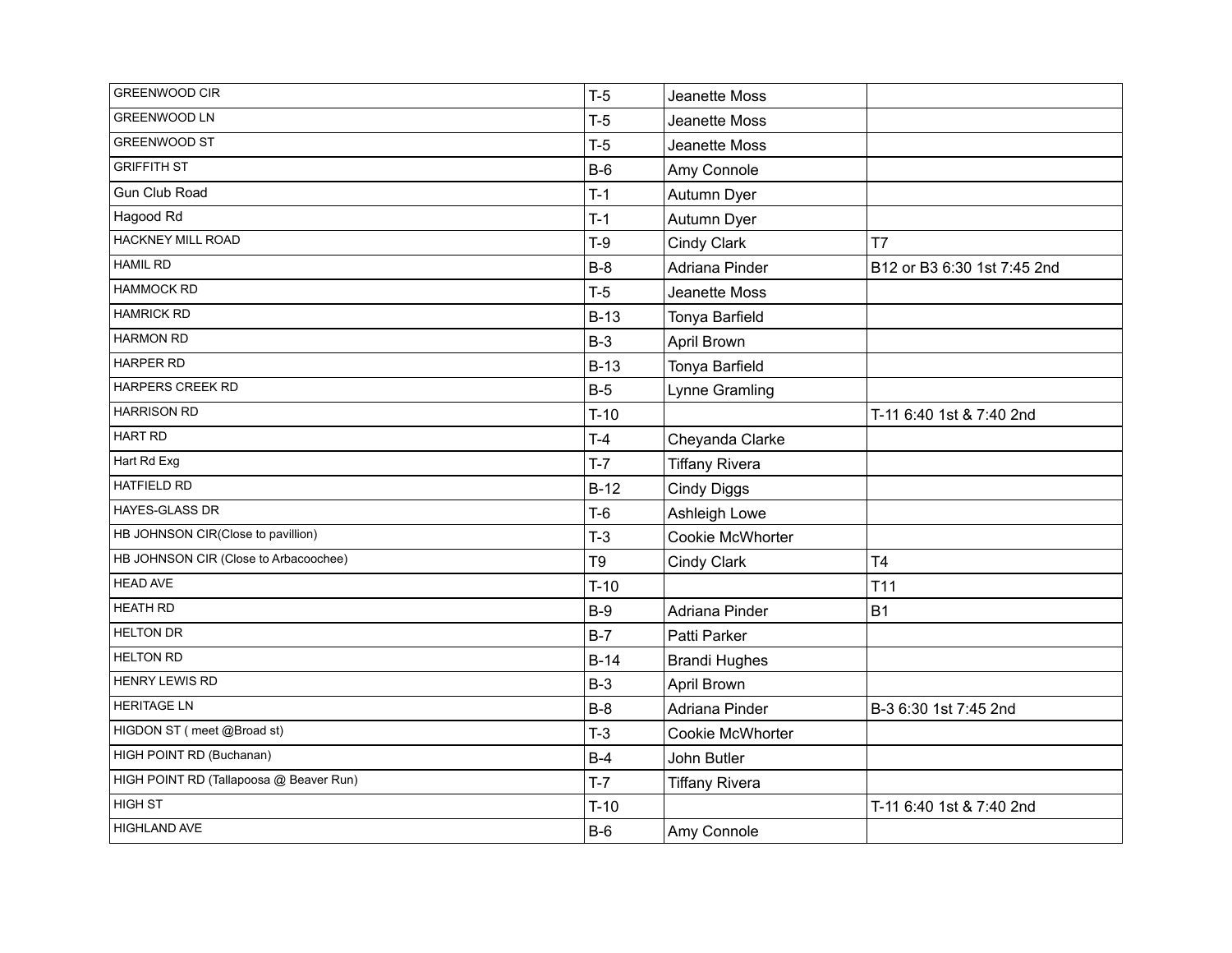| <b>GREENWOOD CIR</b>                    | $T-5$  | Jeanette Moss         |                             |
|-----------------------------------------|--------|-----------------------|-----------------------------|
| GREENWOOD LN                            | $T-5$  | Jeanette Moss         |                             |
| <b>GREENWOOD ST</b>                     | $T-5$  | Jeanette Moss         |                             |
| <b>GRIFFITH ST</b>                      | $B-6$  | Amy Connole           |                             |
| Gun Club Road                           | $T-1$  | Autumn Dyer           |                             |
| Hagood Rd                               | $T-1$  | Autumn Dyer           |                             |
| <b>HACKNEY MILL ROAD</b>                | $T-9$  | Cindy Clark           | T7                          |
| <b>HAMIL RD</b>                         | $B-8$  | Adriana Pinder        | B12 or B3 6:30 1st 7:45 2nd |
| <b>HAMMOCK RD</b>                       | $T-5$  | Jeanette Moss         |                             |
| <b>HAMRICK RD</b>                       | $B-13$ | Tonya Barfield        |                             |
| <b>HARMON RD</b>                        | $B-3$  | April Brown           |                             |
| HARPER RD                               | $B-13$ | Tonya Barfield        |                             |
| HARPERS CREEK RD                        | $B-5$  | Lynne Gramling        |                             |
| <b>HARRISON RD</b>                      | $T-10$ |                       | T-11 6:40 1st & 7:40 2nd    |
| <b>HART RD</b>                          | $T-4$  | Cheyanda Clarke       |                             |
| Hart Rd Exg                             | $T-7$  | <b>Tiffany Rivera</b> |                             |
| <b>HATFIELD RD</b>                      | $B-12$ | <b>Cindy Diggs</b>    |                             |
| <b>HAYES-GLASS DR</b>                   | $T-6$  | Ashleigh Lowe         |                             |
| HB JOHNSON CIR(Close to pavillion)      | $T-3$  | Cookie McWhorter      |                             |
| HB JOHNSON CIR (Close to Arbacoochee)   | T9     | Cindy Clark           | T <sub>4</sub>              |
| <b>HEAD AVE</b>                         | $T-10$ |                       | T <sub>11</sub>             |
| <b>HEATH RD</b>                         | $B-9$  | Adriana Pinder        | <b>B1</b>                   |
| <b>HELTON DR</b>                        | $B-7$  | Patti Parker          |                             |
| <b>HELTON RD</b>                        | $B-14$ | <b>Brandi Hughes</b>  |                             |
| HENRY LEWIS RD                          | $B-3$  | April Brown           |                             |
| <b>HERITAGE LN</b>                      | $B-8$  | Adriana Pinder        | B-3 6:30 1st 7:45 2nd       |
| HIGDON ST (meet @Broad st)              | $T-3$  | Cookie McWhorter      |                             |
| HIGH POINT RD (Buchanan)                | $B-4$  | John Butler           |                             |
| HIGH POINT RD (Tallapoosa @ Beaver Run) | $T-7$  | <b>Tiffany Rivera</b> |                             |
| <b>HIGH ST</b>                          | $T-10$ |                       | T-11 6:40 1st & 7:40 2nd    |
| <b>HIGHLAND AVE</b>                     | $B-6$  | Amy Connole           |                             |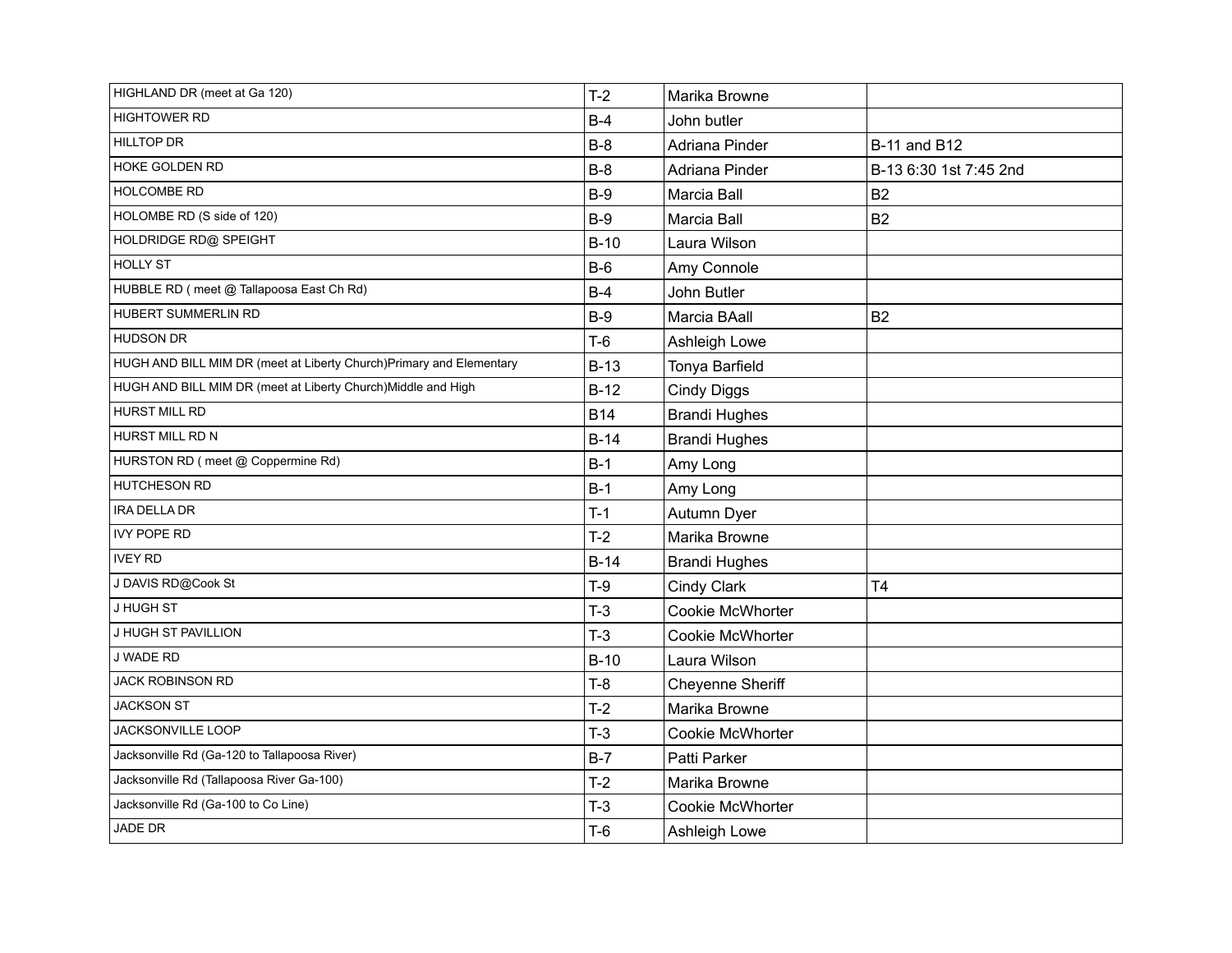| HIGHLAND DR (meet at Ga 120)                                        | $T-2$      | Marika Browne           |                        |
|---------------------------------------------------------------------|------------|-------------------------|------------------------|
| <b>HIGHTOWER RD</b>                                                 | $B-4$      | John butler             |                        |
| <b>HILLTOP DR</b>                                                   | $B-8$      | Adriana Pinder          | <b>B-11 and B12</b>    |
| HOKE GOLDEN RD                                                      | $B-8$      | Adriana Pinder          | B-13 6:30 1st 7:45 2nd |
| HOLCOMBE RD                                                         | $B-9$      | Marcia Ball             | <b>B2</b>              |
| HOLOMBE RD (S side of 120)                                          | $B-9$      | Marcia Ball             | <b>B2</b>              |
| HOLDRIDGE RD@ SPEIGHT                                               | $B-10$     | Laura Wilson            |                        |
| <b>HOLLY ST</b>                                                     | $B-6$      | Amy Connole             |                        |
| HUBBLE RD (meet @ Tallapoosa East Ch Rd)                            | $B-4$      | John Butler             |                        |
| HUBERT SUMMERLIN RD                                                 | $B-9$      | Marcia BAall            | <b>B2</b>              |
| <b>HUDSON DR</b>                                                    | $T-6$      | Ashleigh Lowe           |                        |
| HUGH AND BILL MIM DR (meet at Liberty Church)Primary and Elementary | $B-13$     | Tonya Barfield          |                        |
| HUGH AND BILL MIM DR (meet at Liberty Church) Middle and High       | $B-12$     | <b>Cindy Diggs</b>      |                        |
| <b>HURST MILL RD</b>                                                | <b>B14</b> | <b>Brandi Hughes</b>    |                        |
| HURST MILL RD N                                                     | $B-14$     | <b>Brandi Hughes</b>    |                        |
| HURSTON RD (meet @ Coppermine Rd)                                   | $B-1$      | Amy Long                |                        |
| HUTCHESON RD                                                        | $B-1$      | Amy Long                |                        |
| IRA DELLA DR                                                        | $T-1$      | Autumn Dyer             |                        |
| <b>IVY POPE RD</b>                                                  | $T-2$      | Marika Browne           |                        |
| <b>IVEY RD</b>                                                      | $B-14$     | <b>Brandi Hughes</b>    |                        |
| J DAVIS RD@Cook St                                                  | $T-9$      | Cindy Clark             | T <sub>4</sub>         |
| J HUGH ST                                                           | $T-3$      | <b>Cookie McWhorter</b> |                        |
| J HUGH ST PAVILLION                                                 | $T-3$      | Cookie McWhorter        |                        |
| J WADE RD                                                           | $B-10$     | Laura Wilson            |                        |
| <b>JACK ROBINSON RD</b>                                             | $T-8$      | Cheyenne Sheriff        |                        |
| <b>JACKSON ST</b>                                                   | $T-2$      | Marika Browne           |                        |
| JACKSONVILLE LOOP                                                   | $T-3$      | Cookie McWhorter        |                        |
| Jacksonville Rd (Ga-120 to Tallapoosa River)                        | $B-7$      | Patti Parker            |                        |
| Jacksonville Rd (Tallapoosa River Ga-100)                           | $T-2$      | Marika Browne           |                        |
| Jacksonville Rd (Ga-100 to Co Line)                                 | $T-3$      | Cookie McWhorter        |                        |
| <b>JADE DR</b>                                                      | $T-6$      | Ashleigh Lowe           |                        |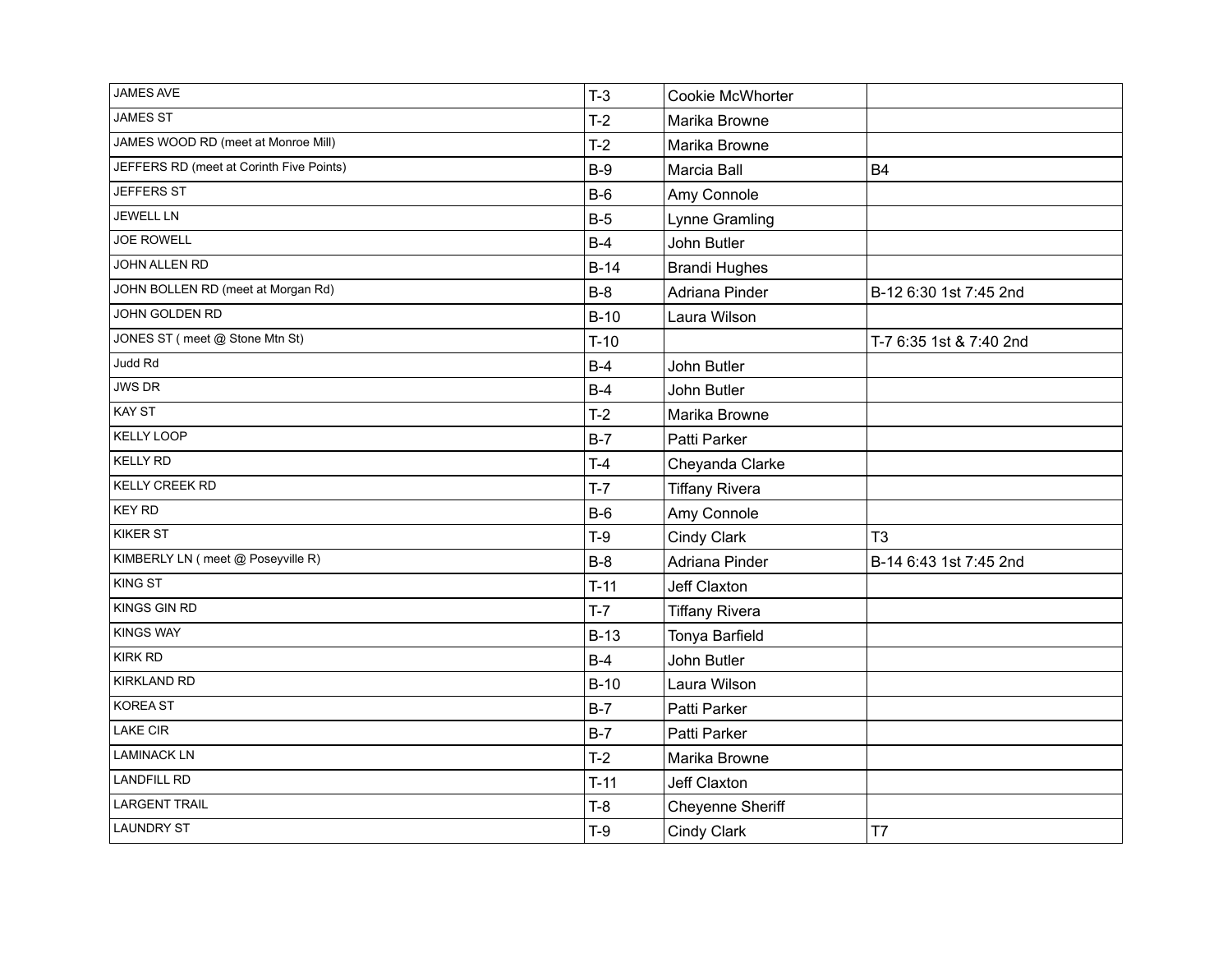| <b>JAMES AVE</b>                         | $T-3$  | Cookie McWhorter      |                         |
|------------------------------------------|--------|-----------------------|-------------------------|
| <b>JAMES ST</b>                          | $T-2$  | Marika Browne         |                         |
| JAMES WOOD RD (meet at Monroe Mill)      | $T-2$  | Marika Browne         |                         |
| JEFFERS RD (meet at Corinth Five Points) | $B-9$  | Marcia Ball           | <b>B4</b>               |
| JEFFERS ST                               | $B-6$  | Amy Connole           |                         |
| <b>JEWELL LN</b>                         | $B-5$  | Lynne Gramling        |                         |
| <b>JOE ROWELL</b>                        | $B-4$  | John Butler           |                         |
| JOHN ALLEN RD                            | $B-14$ | <b>Brandi Hughes</b>  |                         |
| JOHN BOLLEN RD (meet at Morgan Rd)       | $B-8$  | Adriana Pinder        | B-12 6:30 1st 7:45 2nd  |
| JOHN GOLDEN RD                           | $B-10$ | Laura Wilson          |                         |
| JONES ST (meet @ Stone Mtn St)           | $T-10$ |                       | T-7 6:35 1st & 7:40 2nd |
| Judd Rd                                  | $B-4$  | John Butler           |                         |
| <b>JWS DR</b>                            | $B-4$  | John Butler           |                         |
| <b>KAY ST</b>                            | $T-2$  | Marika Browne         |                         |
| <b>KELLY LOOP</b>                        | $B-7$  | Patti Parker          |                         |
| <b>KELLY RD</b>                          | $T-4$  | Cheyanda Clarke       |                         |
| <b>KELLY CREEK RD</b>                    | $T-7$  | <b>Tiffany Rivera</b> |                         |
| <b>KEY RD</b>                            | $B-6$  | Amy Connole           |                         |
| <b>KIKER ST</b>                          | $T-9$  | Cindy Clark           | T <sub>3</sub>          |
| KIMBERLY LN (meet @ Poseyville R)        | $B-8$  | Adriana Pinder        | B-14 6:43 1st 7:45 2nd  |
| <b>KING ST</b>                           | $T-11$ | Jeff Claxton          |                         |
| <b>KINGS GIN RD</b>                      | $T-7$  | <b>Tiffany Rivera</b> |                         |
| <b>KINGS WAY</b>                         | $B-13$ | Tonya Barfield        |                         |
| <b>KIRK RD</b>                           | $B-4$  | John Butler           |                         |
| <b>KIRKLAND RD</b>                       | $B-10$ | Laura Wilson          |                         |
| <b>KOREA ST</b>                          | $B-7$  | Patti Parker          |                         |
| LAKE CIR                                 | $B-7$  | Patti Parker          |                         |
| <b>LAMINACK LN</b>                       | $T-2$  | Marika Browne         |                         |
| <b>LANDFILL RD</b>                       | $T-11$ | Jeff Claxton          |                         |
| <b>LARGENT TRAIL</b>                     | $T-8$  | Cheyenne Sheriff      |                         |
| <b>LAUNDRY ST</b>                        | $T-9$  | Cindy Clark           | T7                      |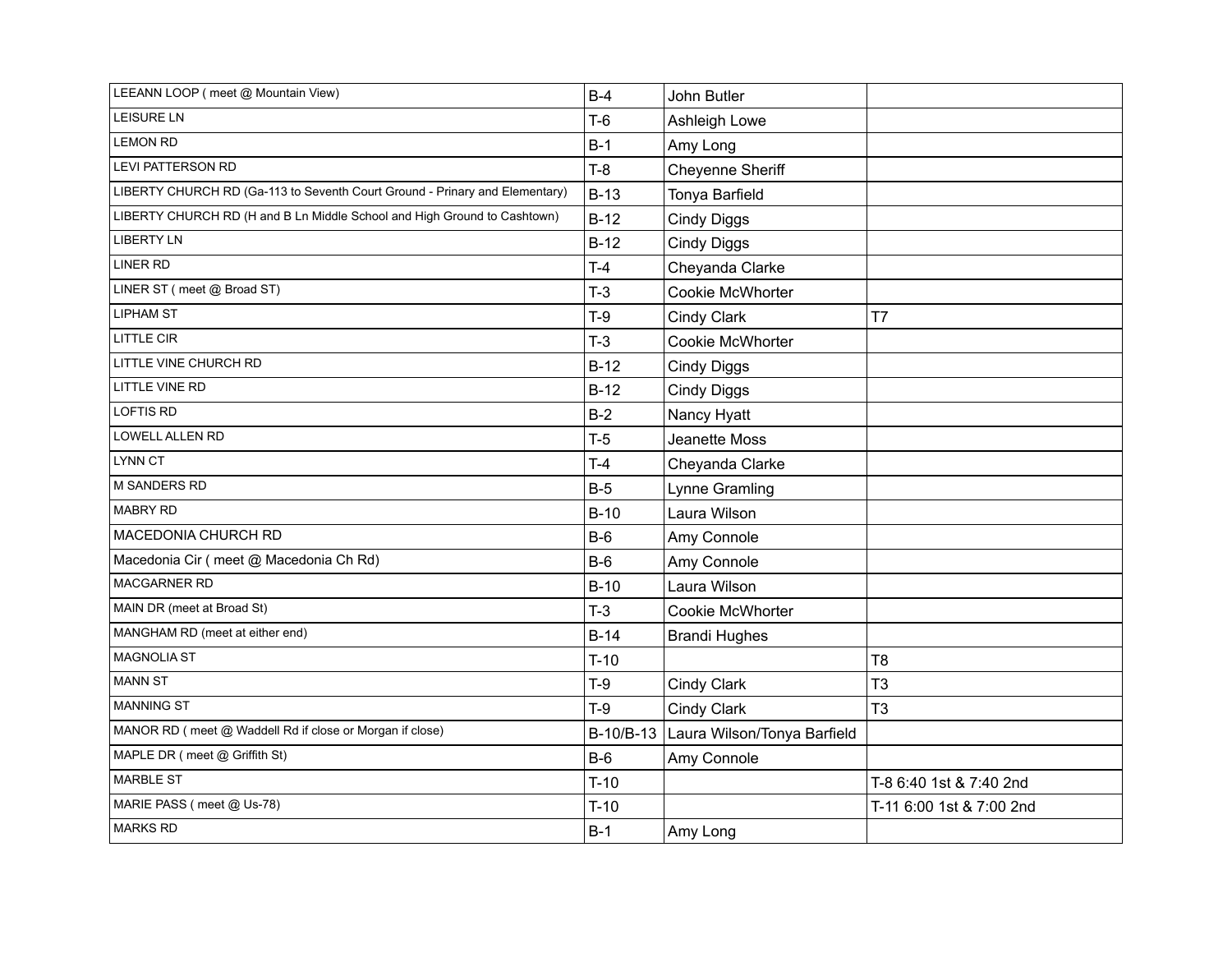| LEEANN LOOP (meet @ Mountain View)                                          | $B-4$  | John Butler                           |                          |
|-----------------------------------------------------------------------------|--------|---------------------------------------|--------------------------|
| LEISURE LN                                                                  | $T-6$  | Ashleigh Lowe                         |                          |
| <b>LEMON RD</b>                                                             | $B-1$  | Amy Long                              |                          |
| LEVI PATTERSON RD                                                           | $T-8$  | Cheyenne Sheriff                      |                          |
| LIBERTY CHURCH RD (Ga-113 to Seventh Court Ground - Prinary and Elementary) | $B-13$ | Tonya Barfield                        |                          |
| LIBERTY CHURCH RD (H and B Ln Middle School and High Ground to Cashtown)    | $B-12$ | <b>Cindy Diggs</b>                    |                          |
| <b>LIBERTY LN</b>                                                           | $B-12$ | <b>Cindy Diggs</b>                    |                          |
| <b>LINER RD</b>                                                             | $T-4$  | Cheyanda Clarke                       |                          |
| LINER ST (meet @ Broad ST)                                                  | $T-3$  | Cookie McWhorter                      |                          |
| <b>LIPHAM ST</b>                                                            | $T-9$  | Cindy Clark                           | T <sub>7</sub>           |
| <b>LITTLE CIR</b>                                                           | $T-3$  | Cookie McWhorter                      |                          |
| LITTLE VINE CHURCH RD                                                       | $B-12$ | <b>Cindy Diggs</b>                    |                          |
| LITTLE VINE RD                                                              | $B-12$ | <b>Cindy Diggs</b>                    |                          |
| <b>LOFTIS RD</b>                                                            | $B-2$  | Nancy Hyatt                           |                          |
| LOWELL ALLEN RD                                                             | $T-5$  | Jeanette Moss                         |                          |
| LYNN CT                                                                     | $T-4$  | Cheyanda Clarke                       |                          |
| M SANDERS RD                                                                | $B-5$  | Lynne Gramling                        |                          |
| <b>MABRY RD</b>                                                             | $B-10$ | Laura Wilson                          |                          |
| MACEDONIA CHURCH RD                                                         | $B-6$  | Amy Connole                           |                          |
| Macedonia Cir (meet @ Macedonia Ch Rd)                                      | $B-6$  | Amy Connole                           |                          |
| MACGARNER RD                                                                | $B-10$ | Laura Wilson                          |                          |
| MAIN DR (meet at Broad St)                                                  | $T-3$  | <b>Cookie McWhorter</b>               |                          |
| MANGHAM RD (meet at either end)                                             | $B-14$ | <b>Brandi Hughes</b>                  |                          |
| <b>MAGNOLIA ST</b>                                                          | $T-10$ |                                       | T8                       |
| <b>MANN ST</b>                                                              | $T-9$  | Cindy Clark                           | T <sub>3</sub>           |
| <b>MANNING ST</b>                                                           | $T-9$  | Cindy Clark                           | T <sub>3</sub>           |
| MANOR RD (meet @ Waddell Rd if close or Morgan if close)                    |        | B-10/B-13 Laura Wilson/Tonya Barfield |                          |
| MAPLE DR (meet @ Griffith St)                                               | $B-6$  | Amy Connole                           |                          |
| <b>MARBLE ST</b>                                                            | $T-10$ |                                       | T-8 6:40 1st & 7:40 2nd  |
| MARIE PASS (meet @ Us-78)                                                   | $T-10$ |                                       | T-11 6:00 1st & 7:00 2nd |
| <b>MARKS RD</b>                                                             | $B-1$  | Amy Long                              |                          |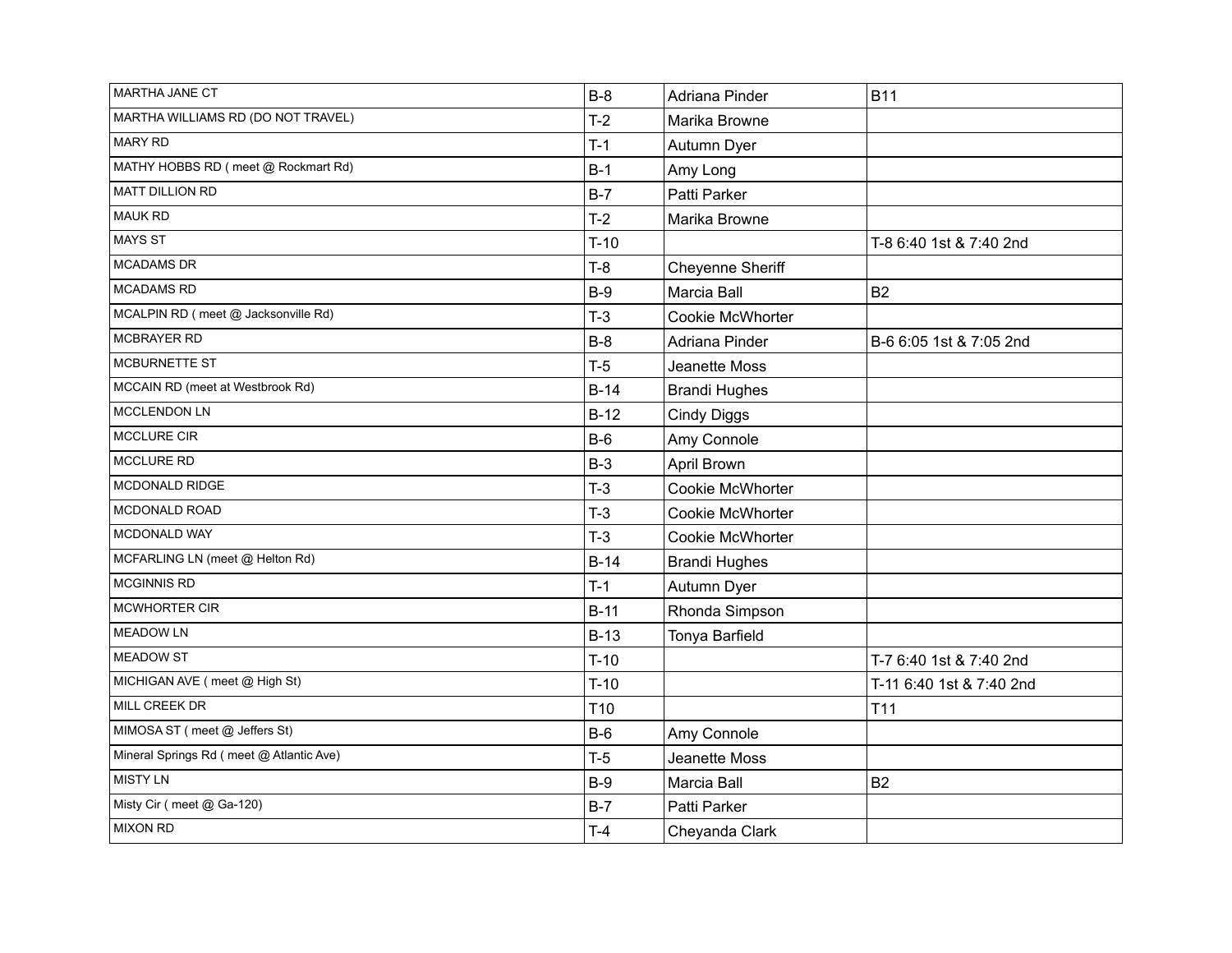| MARTHA JANE CT                           | $B-8$           | Adriana Pinder       | <b>B11</b>               |
|------------------------------------------|-----------------|----------------------|--------------------------|
| MARTHA WILLIAMS RD (DO NOT TRAVEL)       | $T-2$           | Marika Browne        |                          |
| <b>MARY RD</b>                           | $T-1$           | Autumn Dyer          |                          |
| MATHY HOBBS RD (meet @ Rockmart Rd)      | $B-1$           | Amy Long             |                          |
| <b>MATT DILLION RD</b>                   | $B-7$           | Patti Parker         |                          |
| <b>MAUK RD</b>                           | $T-2$           | Marika Browne        |                          |
| <b>MAYS ST</b>                           | $T-10$          |                      | T-8 6:40 1st & 7:40 2nd  |
| <b>MCADAMS DR</b>                        | $T-8$           | Cheyenne Sheriff     |                          |
| <b>MCADAMS RD</b>                        | $B-9$           | Marcia Ball          | <b>B2</b>                |
| MCALPIN RD (meet @ Jacksonville Rd)      | $T-3$           | Cookie McWhorter     |                          |
| MCBRAYER RD                              | $B-8$           | Adriana Pinder       | B-6 6:05 1st & 7:05 2nd  |
| MCBURNETTE ST                            | $T-5$           | Jeanette Moss        |                          |
| MCCAIN RD (meet at Westbrook Rd)         | $B-14$          | <b>Brandi Hughes</b> |                          |
| MCCLENDON LN                             | $B-12$          | <b>Cindy Diggs</b>   |                          |
| MCCLURE CIR                              | $B-6$           | Amy Connole          |                          |
| <b>MCCLURE RD</b>                        | $B-3$           | April Brown          |                          |
| MCDONALD RIDGE                           | $T-3$           | Cookie McWhorter     |                          |
| MCDONALD ROAD                            | $T-3$           | Cookie McWhorter     |                          |
| MCDONALD WAY                             | $T-3$           | Cookie McWhorter     |                          |
| MCFARLING LN (meet @ Helton Rd)          | $B-14$          | <b>Brandi Hughes</b> |                          |
| MCGINNIS RD                              | $T-1$           | Autumn Dyer          |                          |
| MCWHORTER CIR                            | $B-11$          | Rhonda Simpson       |                          |
| <b>MEADOW LN</b>                         | $B-13$          | Tonya Barfield       |                          |
| <b>MEADOW ST</b>                         | $T-10$          |                      | T-7 6:40 1st & 7:40 2nd  |
| MICHIGAN AVE (meet @ High St)            | $T-10$          |                      | T-11 6:40 1st & 7:40 2nd |
| MILL CREEK DR                            | T <sub>10</sub> |                      | T <sub>11</sub>          |
| MIMOSA ST (meet @ Jeffers St)            | $B-6$           | Amy Connole          |                          |
| Mineral Springs Rd (meet @ Atlantic Ave) | $T-5$           | Jeanette Moss        |                          |
| <b>MISTY LN</b>                          | $B-9$           | Marcia Ball          | <b>B2</b>                |
| Misty Cir (meet @ Ga-120)                | $B-7$           | Patti Parker         |                          |
| <b>MIXON RD</b>                          | $T-4$           | Cheyanda Clark       |                          |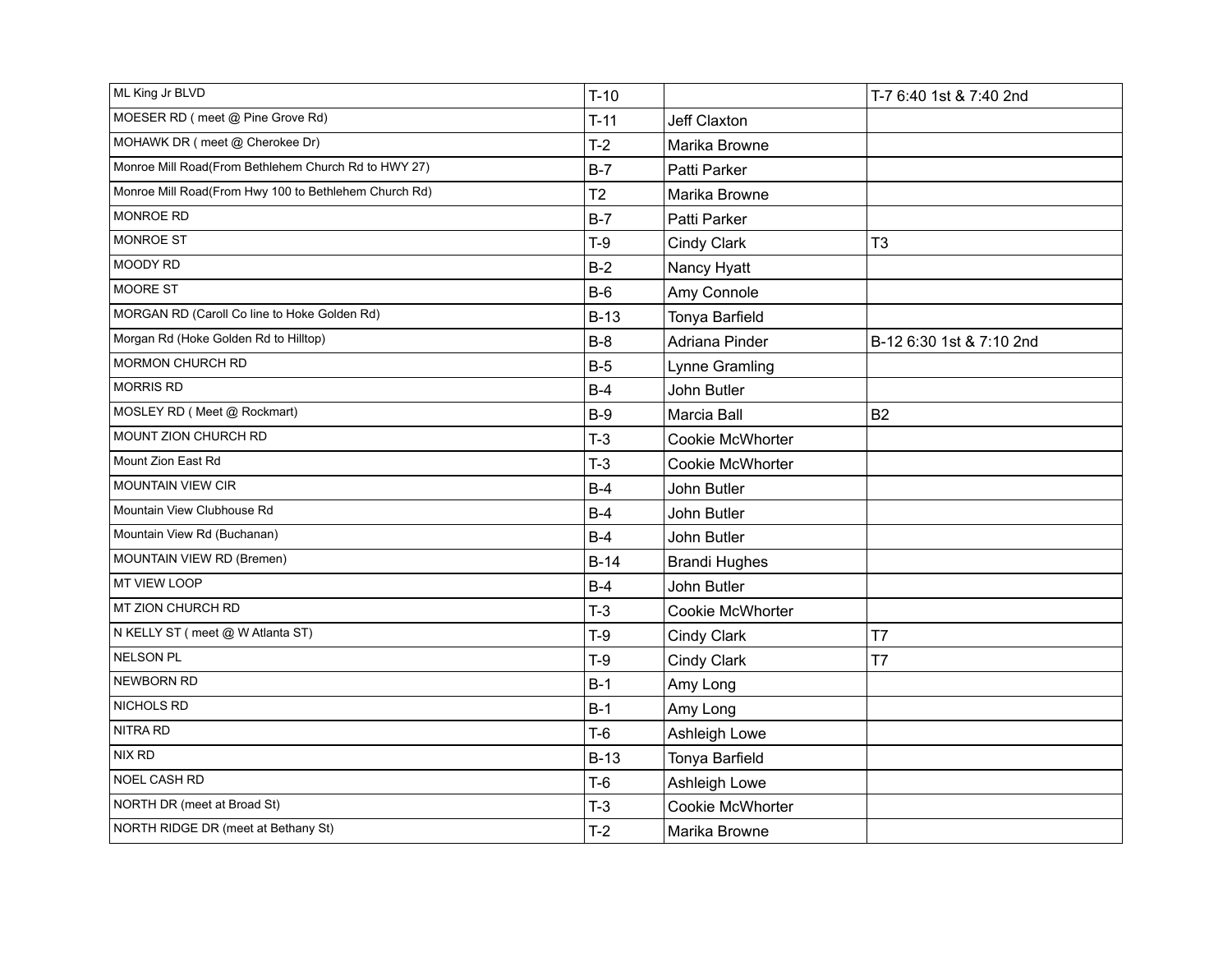| ML King Jr BLVD                                       | $T-10$         |                         | T-7 6:40 1st & 7:40 2nd  |
|-------------------------------------------------------|----------------|-------------------------|--------------------------|
| MOESER RD (meet @ Pine Grove Rd)                      | $T-11$         | Jeff Claxton            |                          |
| MOHAWK DR (meet @ Cherokee Dr)                        | $T-2$          | Marika Browne           |                          |
| Monroe Mill Road(From Bethlehem Church Rd to HWY 27)  | $B-7$          | Patti Parker            |                          |
| Monroe Mill Road(From Hwy 100 to Bethlehem Church Rd) | T <sub>2</sub> | Marika Browne           |                          |
| <b>MONROE RD</b>                                      | $B-7$          | Patti Parker            |                          |
| MONROE ST                                             | $T-9$          | Cindy Clark             | T <sub>3</sub>           |
| MOODY RD                                              | $B-2$          | Nancy Hyatt             |                          |
| MOORE ST                                              | $B-6$          | Amy Connole             |                          |
| MORGAN RD (Caroll Co line to Hoke Golden Rd)          | $B-13$         | Tonya Barfield          |                          |
| Morgan Rd (Hoke Golden Rd to Hilltop)                 | $B-8$          | Adriana Pinder          | B-12 6:30 1st & 7:10 2nd |
| <b>MORMON CHURCH RD</b>                               | $B-5$          | Lynne Gramling          |                          |
| <b>MORRIS RD</b>                                      | $B-4$          | John Butler             |                          |
| MOSLEY RD (Meet @ Rockmart)                           | $B-9$          | Marcia Ball             | <b>B2</b>                |
| MOUNT ZION CHURCH RD                                  | $T-3$          | Cookie McWhorter        |                          |
| Mount Zion East Rd                                    | $T-3$          | Cookie McWhorter        |                          |
| <b>MOUNTAIN VIEW CIR</b>                              | $B-4$          | John Butler             |                          |
| Mountain View Clubhouse Rd                            | $B-4$          | John Butler             |                          |
| Mountain View Rd (Buchanan)                           | $B-4$          | John Butler             |                          |
| MOUNTAIN VIEW RD (Bremen)                             | $B-14$         | <b>Brandi Hughes</b>    |                          |
| <b>MT VIEW LOOP</b>                                   | $B-4$          | John Butler             |                          |
| MT ZION CHURCH RD                                     | $T-3$          | <b>Cookie McWhorter</b> |                          |
| N KELLY ST (meet @ W Atlanta ST)                      | $T-9$          | Cindy Clark             | T7                       |
| <b>NELSON PL</b>                                      | $T-9$          | Cindy Clark             | T <sub>7</sub>           |
| <b>NEWBORN RD</b>                                     | $B-1$          | Amy Long                |                          |
| NICHOLS RD                                            | $B-1$          | Amy Long                |                          |
| NITRA RD                                              | $T-6$          | Ashleigh Lowe           |                          |
| NIX RD                                                | $B-13$         | Tonya Barfield          |                          |
| NOEL CASH RD                                          | $T-6$          | Ashleigh Lowe           |                          |
| NORTH DR (meet at Broad St)                           | $T-3$          | Cookie McWhorter        |                          |
| NORTH RIDGE DR (meet at Bethany St)                   | $T-2$          | Marika Browne           |                          |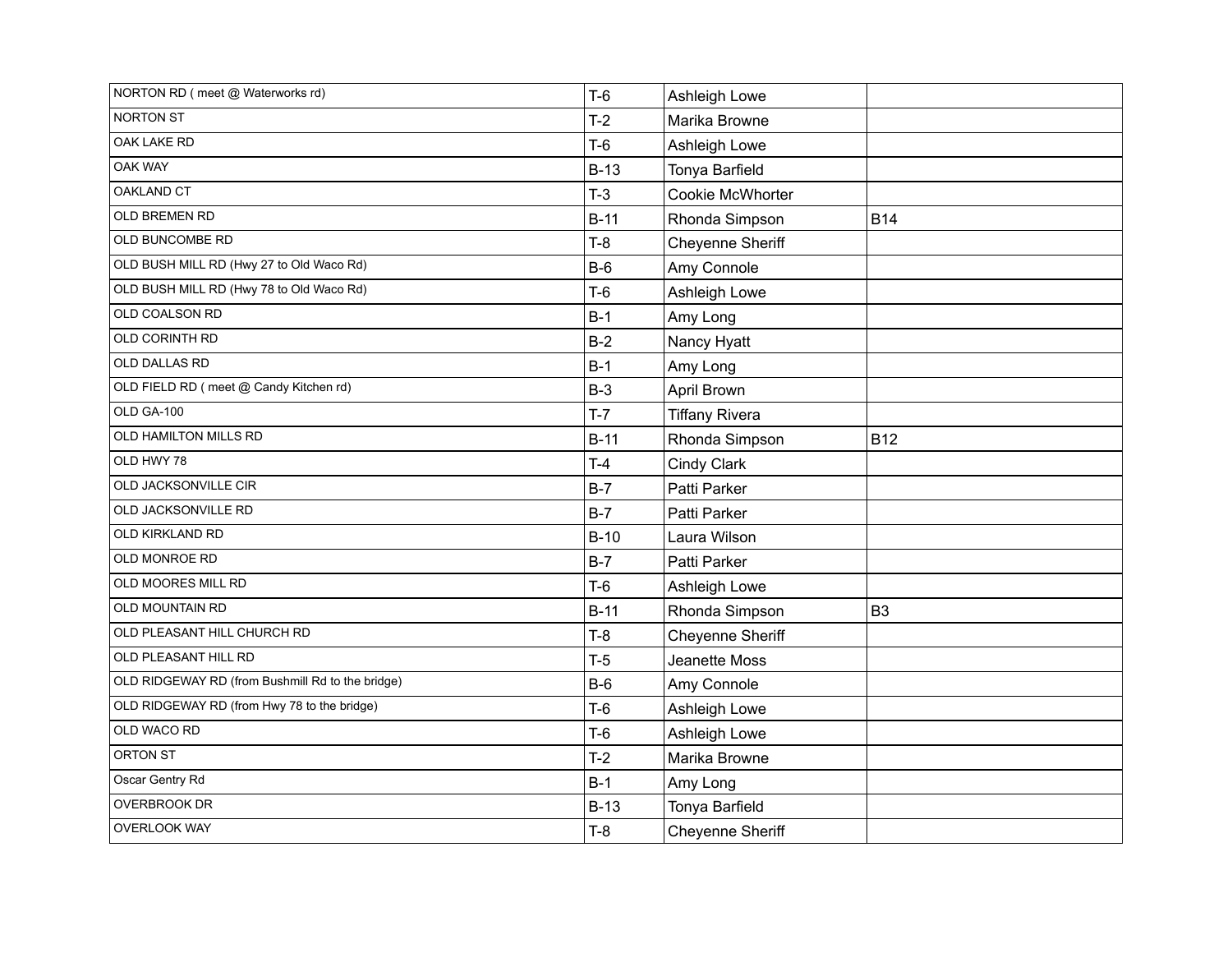| NORTON RD (meet @ Waterworks rd)                 | $T-6$  | Ashleigh Lowe         |                |
|--------------------------------------------------|--------|-----------------------|----------------|
| <b>NORTON ST</b>                                 | $T-2$  | Marika Browne         |                |
| OAK LAKE RD                                      | $T-6$  | Ashleigh Lowe         |                |
| OAK WAY                                          | $B-13$ | Tonya Barfield        |                |
| <b>OAKLAND CT</b>                                | $T-3$  | Cookie McWhorter      |                |
| OLD BREMEN RD                                    | $B-11$ | Rhonda Simpson        | <b>B14</b>     |
| OLD BUNCOMBE RD                                  | $T-8$  | Cheyenne Sheriff      |                |
| OLD BUSH MILL RD (Hwy 27 to Old Waco Rd)         | $B-6$  | Amy Connole           |                |
| OLD BUSH MILL RD (Hwy 78 to Old Waco Rd)         | $T-6$  | Ashleigh Lowe         |                |
| OLD COALSON RD                                   | $B-1$  | Amy Long              |                |
| OLD CORINTH RD                                   | $B-2$  | Nancy Hyatt           |                |
| OLD DALLAS RD                                    | $B-1$  | Amy Long              |                |
| OLD FIELD RD (meet @ Candy Kitchen rd)           | $B-3$  | April Brown           |                |
| OLD GA-100                                       | $T-7$  | <b>Tiffany Rivera</b> |                |
| OLD HAMILTON MILLS RD                            | $B-11$ | Rhonda Simpson        | <b>B12</b>     |
| OLD HWY 78                                       | $T-4$  | Cindy Clark           |                |
| OLD JACKSONVILLE CIR                             | $B-7$  | Patti Parker          |                |
| OLD JACKSONVILLE RD                              | $B-7$  | Patti Parker          |                |
| OLD KIRKLAND RD                                  | $B-10$ | Laura Wilson          |                |
| OLD MONROE RD                                    | $B-7$  | Patti Parker          |                |
| OLD MOORES MILL RD                               | $T-6$  | Ashleigh Lowe         |                |
| OLD MOUNTAIN RD                                  | $B-11$ | Rhonda Simpson        | B <sub>3</sub> |
| OLD PLEASANT HILL CHURCH RD                      | $T-8$  | Cheyenne Sheriff      |                |
| OLD PLEASANT HILL RD                             | $T-5$  | Jeanette Moss         |                |
| OLD RIDGEWAY RD (from Bushmill Rd to the bridge) | $B-6$  | Amy Connole           |                |
| OLD RIDGEWAY RD (from Hwy 78 to the bridge)      | $T-6$  | Ashleigh Lowe         |                |
| OLD WACO RD                                      | $T-6$  | Ashleigh Lowe         |                |
| ORTON ST                                         | $T-2$  | Marika Browne         |                |
| Oscar Gentry Rd                                  | $B-1$  | Amy Long              |                |
| OVERBROOK DR                                     | $B-13$ | Tonya Barfield        |                |
| <b>OVERLOOK WAY</b>                              | $T-8$  | Cheyenne Sheriff      |                |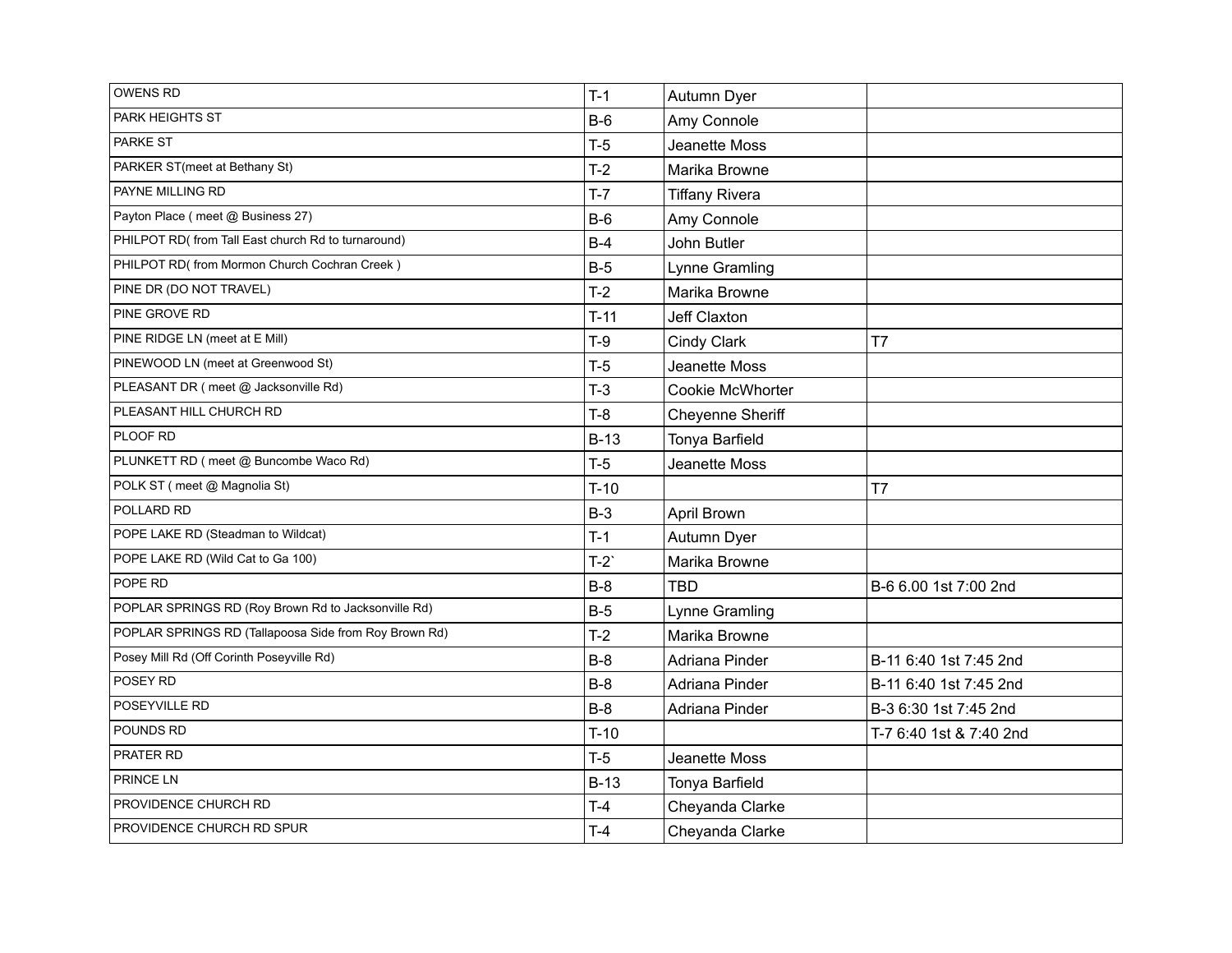| <b>OWENS RD</b>                                       | $T-1$  | Autumn Dyer           |                         |
|-------------------------------------------------------|--------|-----------------------|-------------------------|
| PARK HEIGHTS ST                                       | $B-6$  | Amy Connole           |                         |
| PARKE ST                                              | $T-5$  | Jeanette Moss         |                         |
| PARKER ST(meet at Bethany St)                         | $T-2$  | Marika Browne         |                         |
| PAYNE MILLING RD                                      | $T-7$  | <b>Tiffany Rivera</b> |                         |
| Payton Place (meet @ Business 27)                     | $B-6$  | Amy Connole           |                         |
| PHILPOT RD(from Tall East church Rd to turnaround)    | $B-4$  | John Butler           |                         |
| PHILPOT RD(from Mormon Church Cochran Creek)          | $B-5$  | Lynne Gramling        |                         |
| PINE DR (DO NOT TRAVEL)                               | $T-2$  | Marika Browne         |                         |
| PINE GROVE RD                                         | $T-11$ | Jeff Claxton          |                         |
| PINE RIDGE LN (meet at E Mill)                        | $T-9$  | Cindy Clark           | T7                      |
| PINEWOOD LN (meet at Greenwood St)                    | $T-5$  | Jeanette Moss         |                         |
| PLEASANT DR (meet @ Jacksonville Rd)                  | $T-3$  | Cookie McWhorter      |                         |
| PLEASANT HILL CHURCH RD                               | $T-8$  | Cheyenne Sheriff      |                         |
| PLOOF RD                                              | $B-13$ | Tonya Barfield        |                         |
| PLUNKETT RD (meet @ Buncombe Waco Rd)                 | $T-5$  | Jeanette Moss         |                         |
| POLK ST (meet @ Magnolia St)                          | $T-10$ |                       | T7                      |
| POLLARD RD                                            | $B-3$  | <b>April Brown</b>    |                         |
| POPE LAKE RD (Steadman to Wildcat)                    | $T-1$  | Autumn Dyer           |                         |
| POPE LAKE RD (Wild Cat to Ga 100)                     | $T-2$  | Marika Browne         |                         |
| POPE RD                                               | $B-8$  | <b>TBD</b>            | B-6 6.00 1st 7:00 2nd   |
| POPLAR SPRINGS RD (Roy Brown Rd to Jacksonville Rd)   | $B-5$  | Lynne Gramling        |                         |
| POPLAR SPRINGS RD (Tallapoosa Side from Roy Brown Rd) | $T-2$  | Marika Browne         |                         |
| Posey Mill Rd (Off Corinth Poseyville Rd)             | $B-8$  | Adriana Pinder        | B-11 6:40 1st 7:45 2nd  |
| POSEY RD                                              | $B-8$  | Adriana Pinder        | B-11 6:40 1st 7:45 2nd  |
| POSEYVILLE RD                                         | $B-8$  | Adriana Pinder        | B-3 6:30 1st 7:45 2nd   |
| POUNDS RD                                             | $T-10$ |                       | T-7 6:40 1st & 7:40 2nd |
| PRATER RD                                             | $T-5$  | Jeanette Moss         |                         |
| PRINCE LN                                             | $B-13$ | Tonya Barfield        |                         |
| PROVIDENCE CHURCH RD                                  | T-4    | Cheyanda Clarke       |                         |
| PROVIDENCE CHURCH RD SPUR                             | $T-4$  | Cheyanda Clarke       |                         |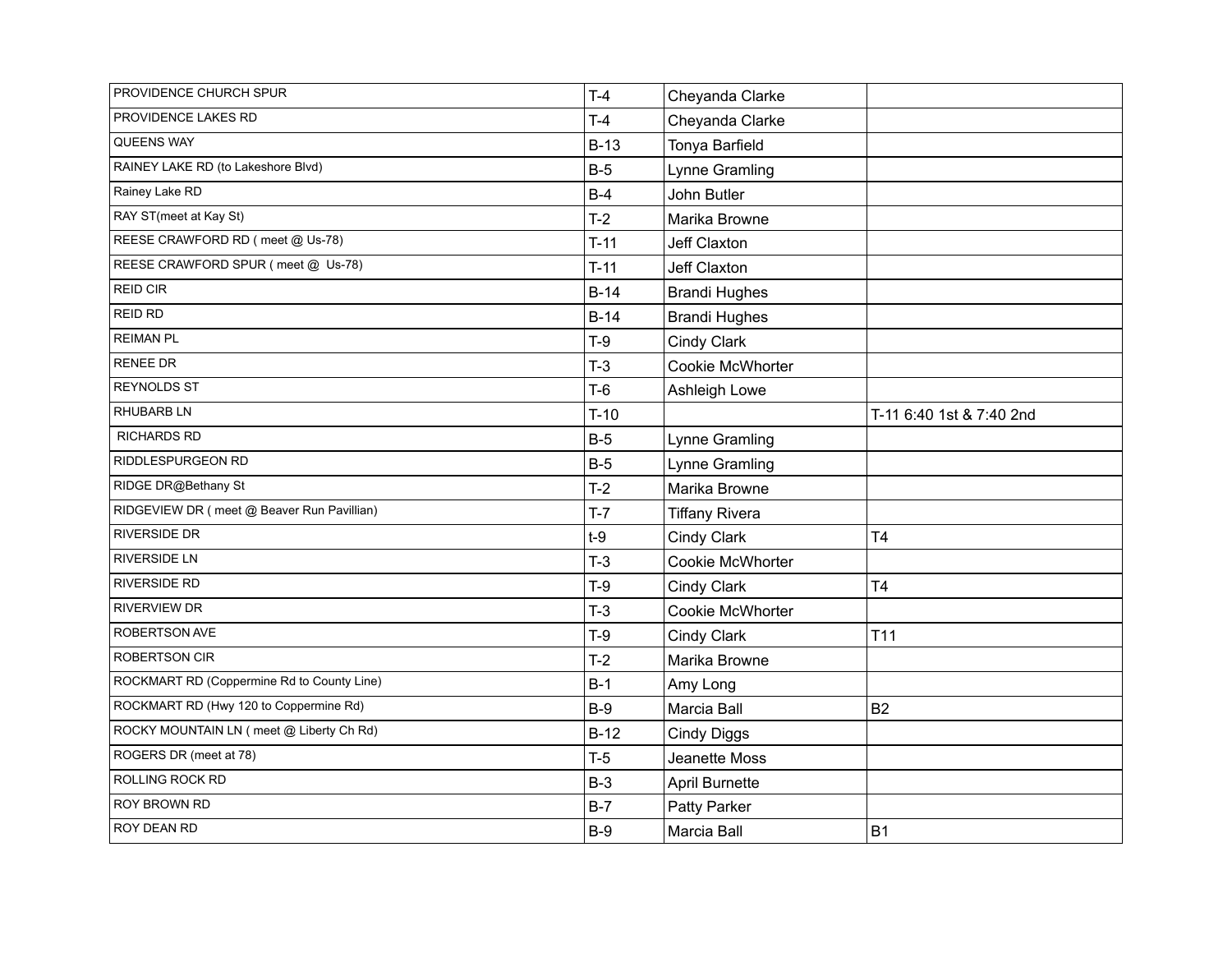| PROVIDENCE CHURCH SPUR                     | $T-4$  | Cheyanda Clarke       |                          |
|--------------------------------------------|--------|-----------------------|--------------------------|
| PROVIDENCE LAKES RD                        | $T-4$  | Cheyanda Clarke       |                          |
| QUEENS WAY                                 | $B-13$ | Tonya Barfield        |                          |
| RAINEY LAKE RD (to Lakeshore Blvd)         | $B-5$  | Lynne Gramling        |                          |
| Rainey Lake RD                             | $B-4$  | John Butler           |                          |
| RAY ST(meet at Kay St)                     | $T-2$  | Marika Browne         |                          |
| REESE CRAWFORD RD (meet @ Us-78)           | $T-11$ | Jeff Claxton          |                          |
| REESE CRAWFORD SPUR (meet @ Us-78)         | $T-11$ | Jeff Claxton          |                          |
| <b>REID CIR</b>                            | $B-14$ | <b>Brandi Hughes</b>  |                          |
| <b>REID RD</b>                             | $B-14$ | <b>Brandi Hughes</b>  |                          |
| <b>REIMAN PL</b>                           | $T-9$  | Cindy Clark           |                          |
| <b>RENEE DR</b>                            | $T-3$  | Cookie McWhorter      |                          |
| <b>REYNOLDS ST</b>                         | $T-6$  | Ashleigh Lowe         |                          |
| <b>RHUBARB LN</b>                          | $T-10$ |                       | T-11 6:40 1st & 7:40 2nd |
| <b>RICHARDS RD</b>                         | $B-5$  | Lynne Gramling        |                          |
| RIDDLESPURGEON RD                          | $B-5$  | Lynne Gramling        |                          |
| RIDGE DR@Bethany St                        | $T-2$  | Marika Browne         |                          |
| RIDGEVIEW DR (meet @ Beaver Run Pavillian) | $T-7$  | <b>Tiffany Rivera</b> |                          |
| <b>RIVERSIDE DR</b>                        | $t-9$  | Cindy Clark           | T <sub>4</sub>           |
| <b>RIVERSIDE LN</b>                        | $T-3$  | Cookie McWhorter      |                          |
| <b>RIVERSIDE RD</b>                        | $T-9$  | Cindy Clark           | T <sub>4</sub>           |
| <b>RIVERVIEW DR</b>                        | $T-3$  | Cookie McWhorter      |                          |
| ROBERTSON AVE                              | $T-9$  | Cindy Clark           | T <sub>11</sub>          |
| <b>ROBERTSON CIR</b>                       | $T-2$  | Marika Browne         |                          |
| ROCKMART RD (Coppermine Rd to County Line) | $B-1$  | Amy Long              |                          |
| ROCKMART RD (Hwy 120 to Coppermine Rd)     | $B-9$  | Marcia Ball           | <b>B2</b>                |
| ROCKY MOUNTAIN LN ( meet @ Liberty Ch Rd)  | $B-12$ | <b>Cindy Diggs</b>    |                          |
| ROGERS DR (meet at 78)                     | $T-5$  | Jeanette Moss         |                          |
| ROLLING ROCK RD                            | $B-3$  | <b>April Burnette</b> |                          |
| ROY BROWN RD                               | $B-7$  | Patty Parker          |                          |
| ROY DEAN RD                                | $B-9$  | Marcia Ball           | <b>B1</b>                |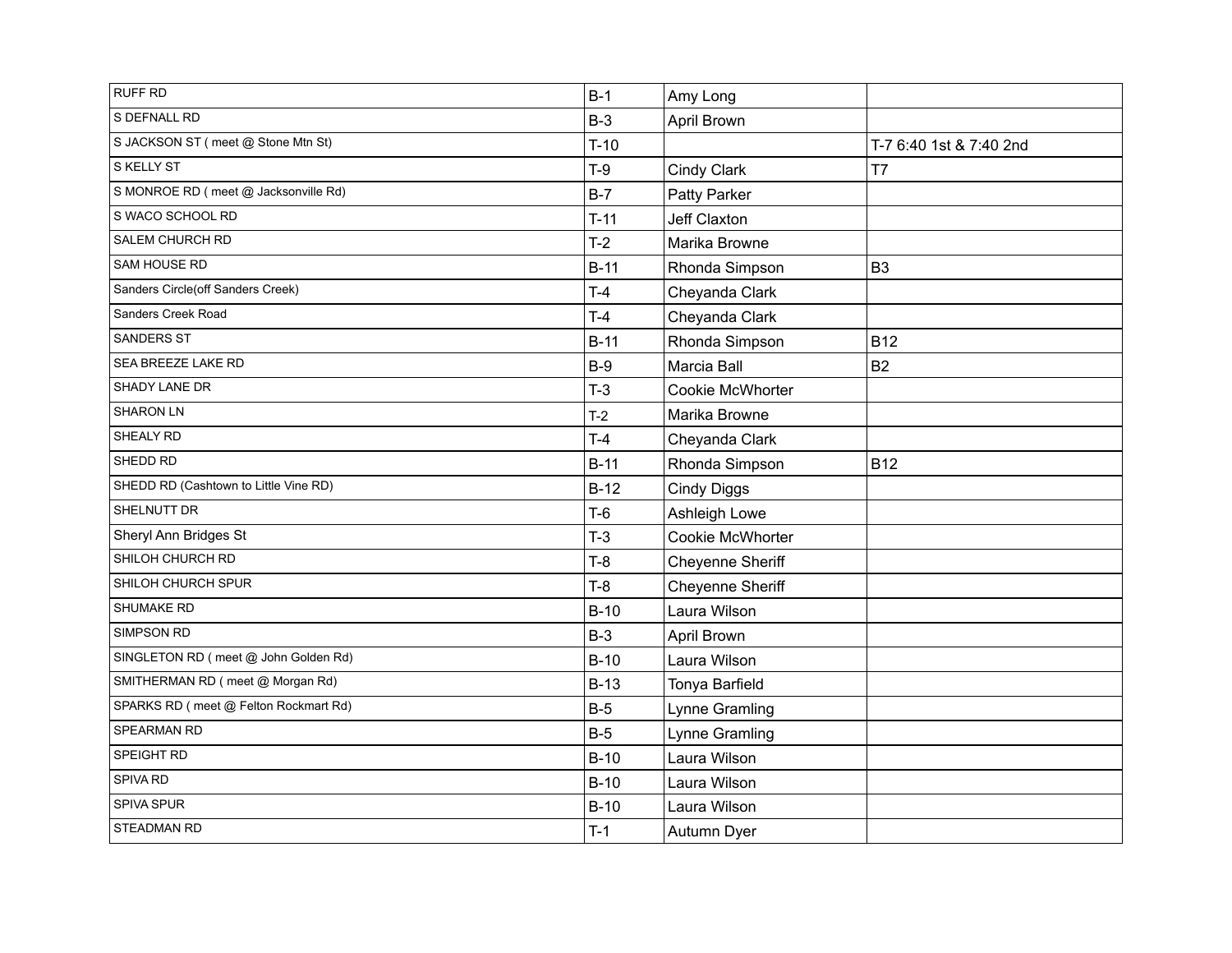| <b>RUFF RD</b>                        | $B-1$  | Amy Long           |                         |
|---------------------------------------|--------|--------------------|-------------------------|
| S DEFNALL RD                          | $B-3$  | April Brown        |                         |
| S JACKSON ST (meet @ Stone Mtn St)    | $T-10$ |                    | T-7 6:40 1st & 7:40 2nd |
| S KELLY ST                            | $T-9$  | Cindy Clark        | T7                      |
| S MONROE RD (meet @ Jacksonville Rd)  | $B-7$  | Patty Parker       |                         |
| S WACO SCHOOL RD                      | $T-11$ | Jeff Claxton       |                         |
| SALEM CHURCH RD                       | $T-2$  | Marika Browne      |                         |
| SAM HOUSE RD                          | $B-11$ | Rhonda Simpson     | B <sub>3</sub>          |
| Sanders Circle(off Sanders Creek)     | $T-4$  | Cheyanda Clark     |                         |
| Sanders Creek Road                    | $T-4$  | Cheyanda Clark     |                         |
| SANDERS ST                            | $B-11$ | Rhonda Simpson     | <b>B12</b>              |
| SEA BREEZE LAKE RD                    | $B-9$  | Marcia Ball        | <b>B2</b>               |
| SHADY LANE DR                         | $T-3$  | Cookie McWhorter   |                         |
| SHARON LN                             | $T-2$  | Marika Browne      |                         |
| SHEALY RD                             | $T-4$  | Cheyanda Clark     |                         |
| SHEDD RD                              | $B-11$ | Rhonda Simpson     | <b>B12</b>              |
| SHEDD RD (Cashtown to Little Vine RD) | $B-12$ | <b>Cindy Diggs</b> |                         |
| SHELNUTT DR                           | $T-6$  | Ashleigh Lowe      |                         |
| Sheryl Ann Bridges St                 | $T-3$  | Cookie McWhorter   |                         |
| SHILOH CHURCH RD                      | $T-8$  | Cheyenne Sheriff   |                         |
| SHILOH CHURCH SPUR                    | $T-8$  | Cheyenne Sheriff   |                         |
| SHUMAKE RD                            | $B-10$ | Laura Wilson       |                         |
| SIMPSON RD                            | $B-3$  | April Brown        |                         |
| SINGLETON RD (meet @ John Golden Rd)  | $B-10$ | Laura Wilson       |                         |
| SMITHERMAN RD (meet @ Morgan Rd)      | $B-13$ | Tonya Barfield     |                         |
| SPARKS RD (meet @ Felton Rockmart Rd) | $B-5$  | Lynne Gramling     |                         |
| SPEARMAN RD                           | $B-5$  | Lynne Gramling     |                         |
| SPEIGHT RD                            | $B-10$ | Laura Wilson       |                         |
| SPIVA RD                              | $B-10$ | Laura Wilson       |                         |
| SPIVA SPUR                            | $B-10$ | Laura Wilson       |                         |
| STEADMAN RD                           | $T-1$  | Autumn Dyer        |                         |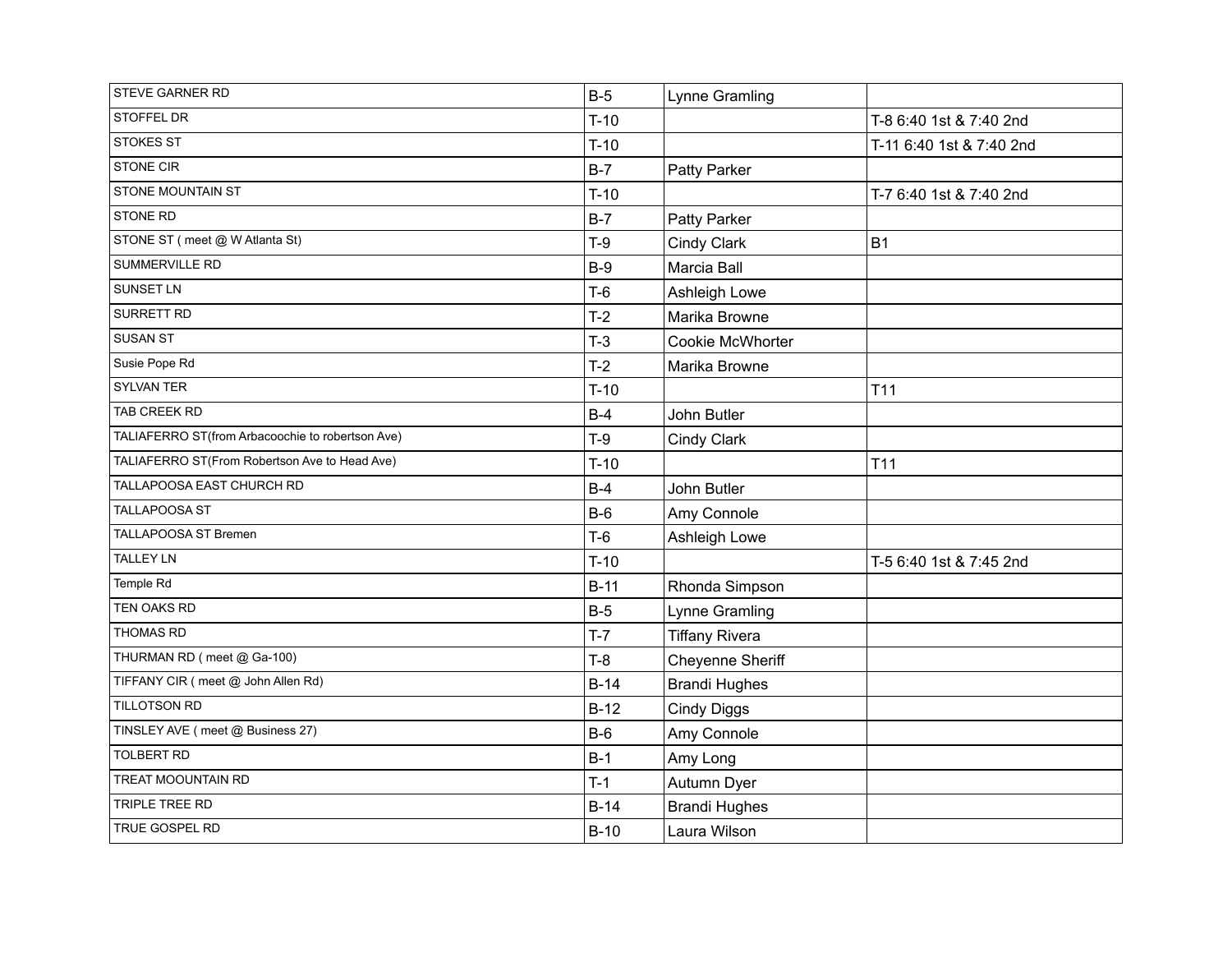| STEVE GARNER RD                                  | $B-5$  | Lynne Gramling        |                          |
|--------------------------------------------------|--------|-----------------------|--------------------------|
| STOFFEL DR                                       | $T-10$ |                       | T-8 6:40 1st & 7:40 2nd  |
| <b>STOKES ST</b>                                 | $T-10$ |                       | T-11 6:40 1st & 7:40 2nd |
| STONE CIR                                        | $B-7$  | Patty Parker          |                          |
| STONE MOUNTAIN ST                                | $T-10$ |                       | T-7 6:40 1st & 7:40 2nd  |
| <b>STONE RD</b>                                  | $B-7$  | Patty Parker          |                          |
| STONE ST ( meet @ W Atlanta St)                  | $T-9$  | Cindy Clark           | <b>B1</b>                |
| SUMMERVILLE RD                                   | $B-9$  | Marcia Ball           |                          |
| SUNSET LN                                        | $T-6$  | Ashleigh Lowe         |                          |
| SURRETT RD                                       | $T-2$  | Marika Browne         |                          |
| <b>SUSAN ST</b>                                  | $T-3$  | Cookie McWhorter      |                          |
| Susie Pope Rd                                    | $T-2$  | Marika Browne         |                          |
| SYLVAN TER                                       | $T-10$ |                       | T <sub>11</sub>          |
| TAB CREEK RD                                     | $B-4$  | John Butler           |                          |
| TALIAFERRO ST(from Arbacoochie to robertson Ave) | $T-9$  | Cindy Clark           |                          |
| TALIAFERRO ST(From Robertson Ave to Head Ave)    | $T-10$ |                       | T <sub>11</sub>          |
| TALLAPOOSA EAST CHURCH RD                        | $B-4$  | John Butler           |                          |
| TALLAPOOSA ST                                    | $B-6$  | Amy Connole           |                          |
| TALLAPOOSA ST Bremen                             | $T-6$  | Ashleigh Lowe         |                          |
| <b>TALLEY LN</b>                                 | $T-10$ |                       | T-5 6:40 1st & 7:45 2nd  |
| Temple Rd                                        | $B-11$ | Rhonda Simpson        |                          |
| TEN OAKS RD                                      | $B-5$  | Lynne Gramling        |                          |
| <b>THOMAS RD</b>                                 | $T-7$  | <b>Tiffany Rivera</b> |                          |
| THURMAN RD (meet @ Ga-100)                       | $T-8$  | Cheyenne Sheriff      |                          |
| TIFFANY CIR (meet @ John Allen Rd)               | $B-14$ | <b>Brandi Hughes</b>  |                          |
| TILLOTSON RD                                     | $B-12$ | <b>Cindy Diggs</b>    |                          |
| TINSLEY AVE (meet @ Business 27)                 | $B-6$  | Amy Connole           |                          |
| <b>TOLBERT RD</b>                                | $B-1$  | Amy Long              |                          |
| TREAT MOOUNTAIN RD                               | $T-1$  | Autumn Dyer           |                          |
| TRIPLE TREE RD                                   | $B-14$ | <b>Brandi Hughes</b>  |                          |
| TRUE GOSPEL RD                                   | $B-10$ | Laura Wilson          |                          |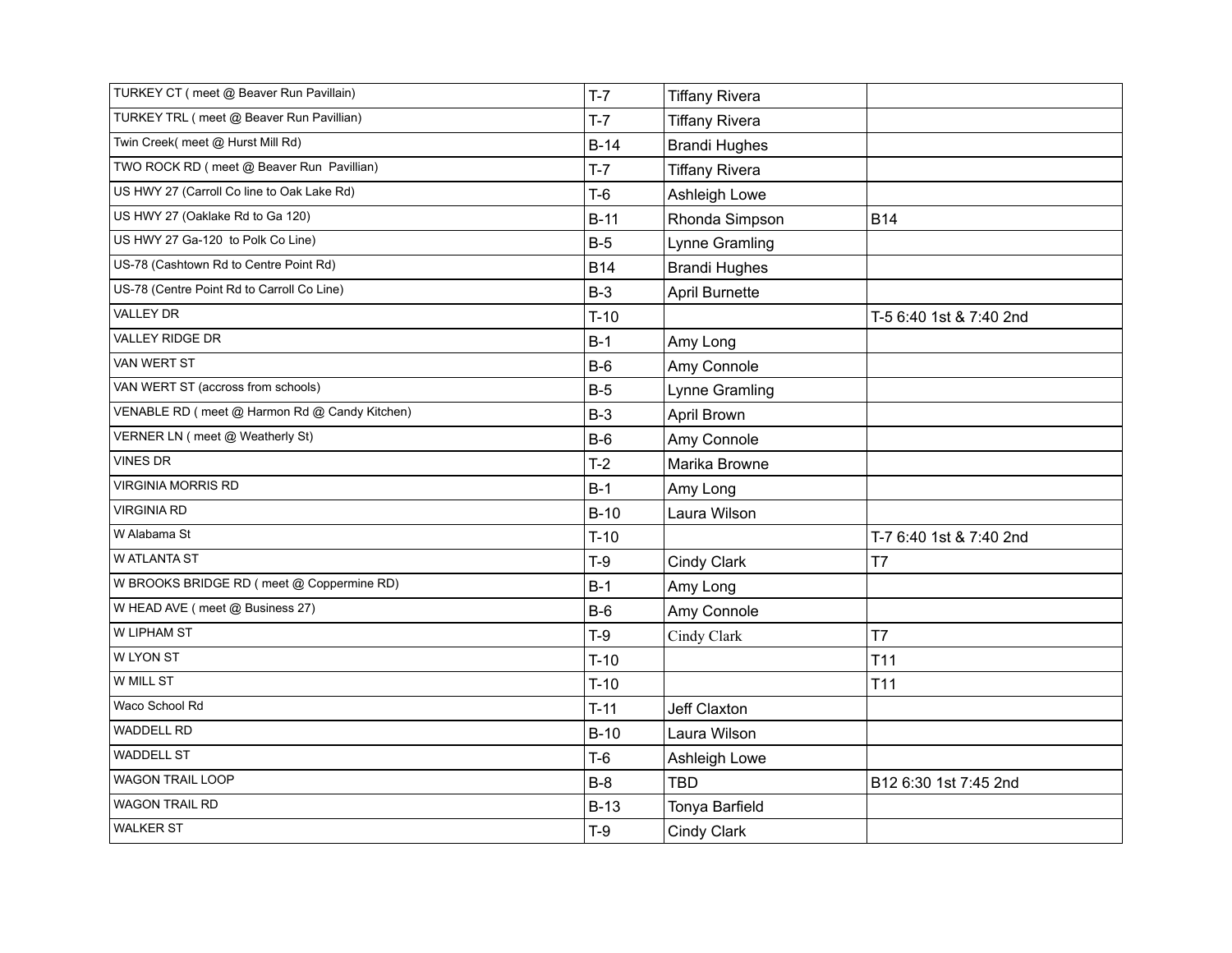| TURKEY CT ( meet @ Beaver Run Pavillain)      | $T-7$      | <b>Tiffany Rivera</b> |                         |
|-----------------------------------------------|------------|-----------------------|-------------------------|
| TURKEY TRL ( meet @ Beaver Run Pavillian)     | $T-7$      | <b>Tiffany Rivera</b> |                         |
| Twin Creek( meet @ Hurst Mill Rd)             | $B-14$     | <b>Brandi Hughes</b>  |                         |
| TWO ROCK RD (meet @ Beaver Run Pavillian)     | $T-7$      | <b>Tiffany Rivera</b> |                         |
| US HWY 27 (Carroll Co line to Oak Lake Rd)    | $T-6$      | Ashleigh Lowe         |                         |
| US HWY 27 (Oaklake Rd to Ga 120)              | $B-11$     | Rhonda Simpson        | <b>B14</b>              |
| US HWY 27 Ga-120 to Polk Co Line)             | $B-5$      | Lynne Gramling        |                         |
| US-78 (Cashtown Rd to Centre Point Rd)        | <b>B14</b> | <b>Brandi Hughes</b>  |                         |
| US-78 (Centre Point Rd to Carroll Co Line)    | $B-3$      | April Burnette        |                         |
| <b>VALLEY DR</b>                              | $T-10$     |                       | T-5 6:40 1st & 7:40 2nd |
| VALLEY RIDGE DR                               | $B-1$      | Amy Long              |                         |
| VAN WERT ST                                   | $B-6$      | Amy Connole           |                         |
| VAN WERT ST (accross from schools)            | $B-5$      | Lynne Gramling        |                         |
| VENABLE RD (meet @ Harmon Rd @ Candy Kitchen) | $B-3$      | April Brown           |                         |
| VERNER LN (meet @ Weatherly St)               | $B-6$      | Amy Connole           |                         |
| <b>VINES DR</b>                               | $T-2$      | Marika Browne         |                         |
| <b>VIRGINIA MORRIS RD</b>                     | $B-1$      | Amy Long              |                         |
| <b>VIRGINIA RD</b>                            | $B-10$     | Laura Wilson          |                         |
| W Alabama St                                  | $T-10$     |                       | T-7 6:40 1st & 7:40 2nd |
| W ATLANTA ST                                  | $T-9$      | Cindy Clark           | T7                      |
| W BROOKS BRIDGE RD (meet @ Coppermine RD)     | $B-1$      | Amy Long              |                         |
| W HEAD AVE (meet @ Business 27)               | $B-6$      | Amy Connole           |                         |
| W LIPHAM ST                                   | $T-9$      | Cindy Clark           | T7                      |
| W LYON ST                                     | $T-10$     |                       | T <sub>11</sub>         |
| W MILL ST                                     | $T-10$     |                       | T <sub>11</sub>         |
| Waco School Rd                                | $T-11$     | Jeff Claxton          |                         |
| WADDELL RD                                    | $B-10$     | Laura Wilson          |                         |
| <b>WADDELL ST</b>                             | $T-6$      | Ashleigh Lowe         |                         |
| WAGON TRAIL LOOP                              | $B-8$      | <b>TBD</b>            | B12 6:30 1st 7:45 2nd   |
| <b>WAGON TRAIL RD</b>                         | $B-13$     | Tonya Barfield        |                         |
| <b>WALKER ST</b>                              | $T-9$      | <b>Cindy Clark</b>    |                         |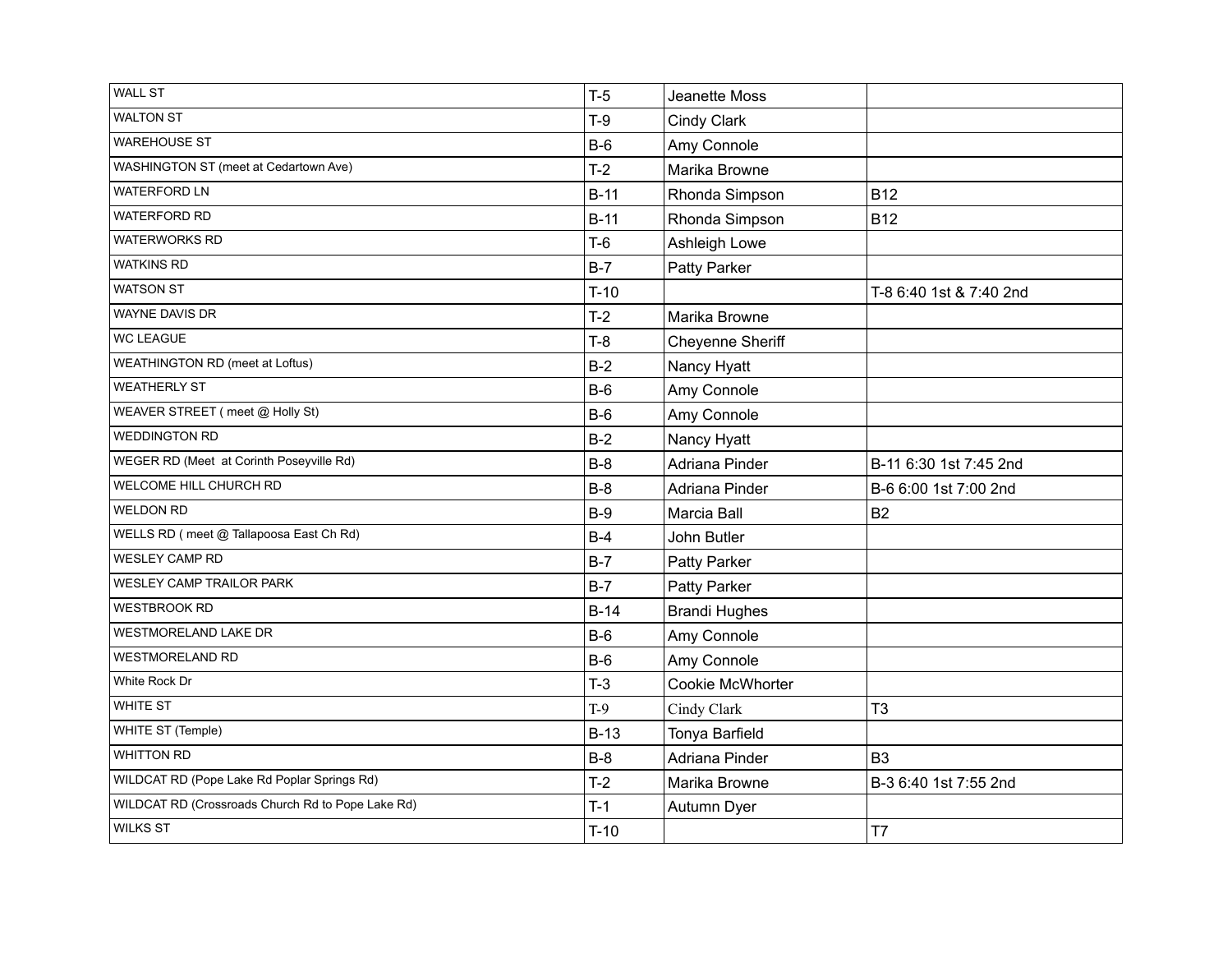| <b>WALL ST</b>                                    | $T-5$  | Jeanette Moss        |                         |
|---------------------------------------------------|--------|----------------------|-------------------------|
| <b>WALTON ST</b>                                  | $T-9$  | Cindy Clark          |                         |
| <b>WAREHOUSE ST</b>                               | $B-6$  | Amy Connole          |                         |
| WASHINGTON ST (meet at Cedartown Ave)             | $T-2$  | Marika Browne        |                         |
| <b>WATERFORD LN</b>                               | $B-11$ | Rhonda Simpson       | <b>B12</b>              |
| <b>WATERFORD RD</b>                               | $B-11$ | Rhonda Simpson       | <b>B12</b>              |
| <b>WATERWORKS RD</b>                              | $T-6$  | Ashleigh Lowe        |                         |
| <b>WATKINS RD</b>                                 | $B-7$  | Patty Parker         |                         |
| <b>WATSON ST</b>                                  | $T-10$ |                      | T-8 6:40 1st & 7:40 2nd |
| <b>WAYNE DAVIS DR</b>                             | $T-2$  | Marika Browne        |                         |
| <b>WC LEAGUE</b>                                  | $T-8$  | Cheyenne Sheriff     |                         |
| WEATHINGTON RD (meet at Loftus)                   | $B-2$  | Nancy Hyatt          |                         |
| <b>WEATHERLY ST</b>                               | $B-6$  | Amy Connole          |                         |
| WEAVER STREET (meet @ Holly St)                   | $B-6$  | Amy Connole          |                         |
| <b>WEDDINGTON RD</b>                              | $B-2$  | Nancy Hyatt          |                         |
| WEGER RD (Meet at Corinth Poseyville Rd)          | $B-8$  | Adriana Pinder       | B-11 6:30 1st 7:45 2nd  |
| WELCOME HILL CHURCH RD                            | $B-8$  | Adriana Pinder       | B-6 6:00 1st 7:00 2nd   |
| <b>WELDON RD</b>                                  | $B-9$  | Marcia Ball          | <b>B2</b>               |
| WELLS RD (meet @ Tallapoosa East Ch Rd)           | $B-4$  | John Butler          |                         |
| <b>WESLEY CAMP RD</b>                             | $B-7$  | Patty Parker         |                         |
| WESLEY CAMP TRAILOR PARK                          | $B-7$  | Patty Parker         |                         |
| <b>WESTBROOK RD</b>                               | $B-14$ | <b>Brandi Hughes</b> |                         |
| WESTMORELAND LAKE DR                              | $B-6$  | Amy Connole          |                         |
| <b>WESTMORELAND RD</b>                            | $B-6$  | Amy Connole          |                         |
| White Rock Dr                                     | $T-3$  | Cookie McWhorter     |                         |
| WHITE ST                                          | $T-9$  | Cindy Clark          | T <sub>3</sub>          |
| WHITE ST (Temple)                                 | $B-13$ | Tonya Barfield       |                         |
| <b>WHITTON RD</b>                                 | $B-8$  | Adriana Pinder       | B <sub>3</sub>          |
| WILDCAT RD (Pope Lake Rd Poplar Springs Rd)       | $T-2$  | Marika Browne        | B-3 6:40 1st 7:55 2nd   |
| WILDCAT RD (Crossroads Church Rd to Pope Lake Rd) | $T-1$  | Autumn Dyer          |                         |
| <b>WILKS ST</b>                                   | $T-10$ |                      | T7                      |